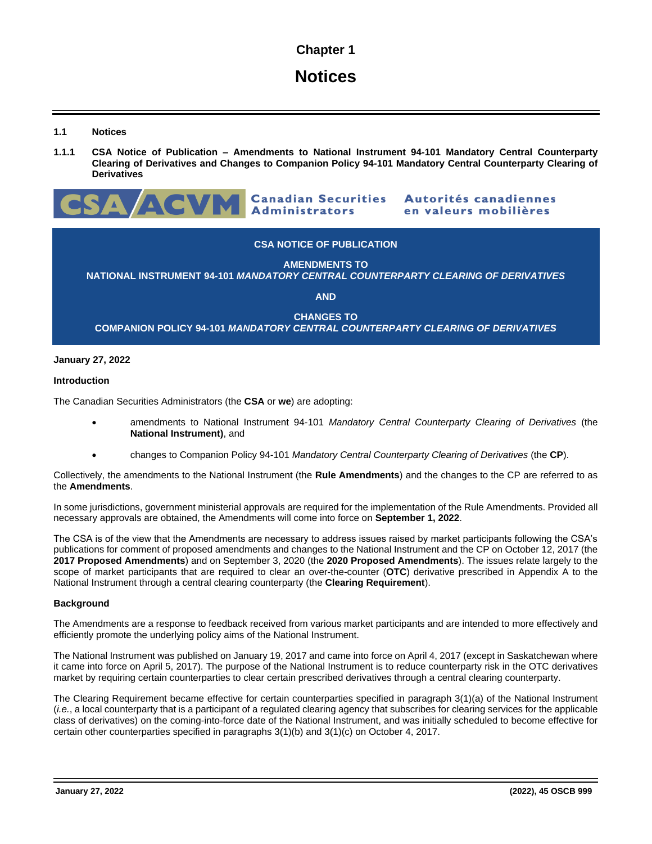# **Chapter 1**

# **Notices**

**1.1 Notices**

**1.1.1 CSA Notice of Publication – Amendments to National Instrument 94-101 Mandatory Central Counterparty Clearing of Derivatives and Changes to Companion Policy 94-101 Mandatory Central Counterparty Clearing of Derivatives**



Autorités canadiennes en valeurs mobilières

# **CSA NOTICE OF PUBLICATION**

**AMENDMENTS TO NATIONAL INSTRUMENT 94-101** *MANDATORY CENTRAL COUNTERPARTY CLEARING OF DERIVATIVES*

**AND**

**CHANGES TO COMPANION POLICY 94-101** *MANDATORY CENTRAL COUNTERPARTY CLEARING OF DERIVATIVES*

## **January 27, 2022**

## **Introduction**

The Canadian Securities Administrators (the **CSA** or **we**) are adopting:

- amendments to National Instrument 94-101 *Mandatory Central Counterparty Clearing of Derivatives* (the **National Instrument)**, and
- changes to Companion Policy 94-101 *Mandatory Central Counterparty Clearing of Derivatives* (the **CP**).

Collectively, the amendments to the National Instrument (the **Rule Amendments**) and the changes to the CP are referred to as the **Amendments**.

In some jurisdictions, government ministerial approvals are required for the implementation of the Rule Amendments. Provided all necessary approvals are obtained, the Amendments will come into force on **September 1, 2022**.

The CSA is of the view that the Amendments are necessary to address issues raised by market participants following the CSA's publications for comment of proposed amendments and changes to the National Instrument and the CP on October 12, 2017 (the **2017 Proposed Amendments**) and on September 3, 2020 (the **2020 Proposed Amendments**). The issues relate largely to the scope of market participants that are required to clear an over-the-counter (**OTC**) derivative prescribed in Appendix A to the National Instrument through a central clearing counterparty (the **Clearing Requirement**).

## **Background**

The Amendments are a response to feedback received from various market participants and are intended to more effectively and efficiently promote the underlying policy aims of the National Instrument.

The National Instrument was published on January 19, 2017 and came into force on April 4, 2017 (except in Saskatchewan where it came into force on April 5, 2017). The purpose of the National Instrument is to reduce counterparty risk in the OTC derivatives market by requiring certain counterparties to clear certain prescribed derivatives through a central clearing counterparty.

The Clearing Requirement became effective for certain counterparties specified in paragraph 3(1)(a) of the National Instrument (*i.e.*, a local counterparty that is a participant of a regulated clearing agency that subscribes for clearing services for the applicable class of derivatives) on the coming-into-force date of the National Instrument, and was initially scheduled to become effective for certain other counterparties specified in paragraphs 3(1)(b) and 3(1)(c) on October 4, 2017.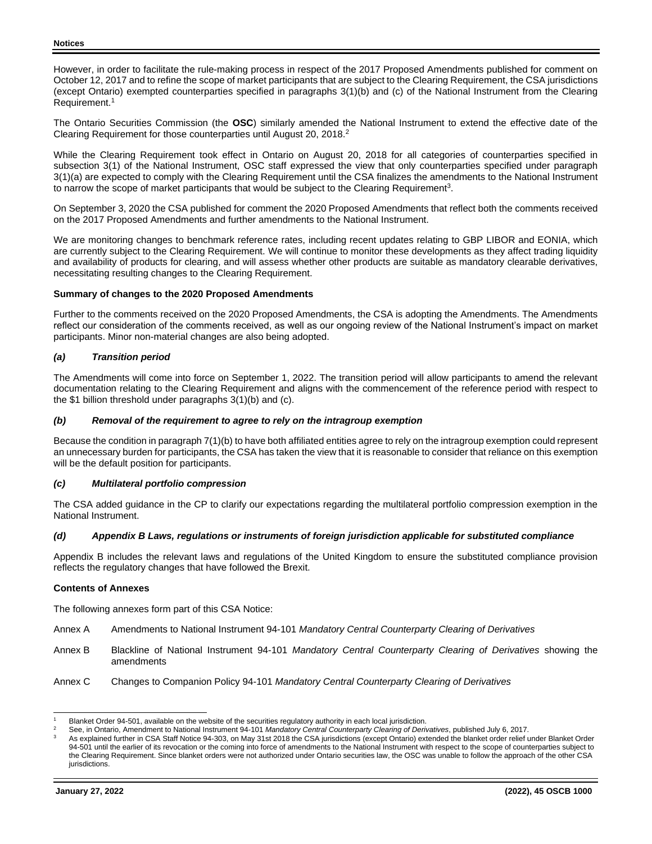However, in order to facilitate the rule-making process in respect of the 2017 Proposed Amendments published for comment on October 12, 2017 and to refine the scope of market participants that are subject to the Clearing Requirement, the CSA jurisdictions (except Ontario) exempted counterparties specified in paragraphs 3(1)(b) and (c) of the National Instrument from the Clearing Requirement.<sup>1</sup>

The Ontario Securities Commission (the **OSC**) similarly amended the National Instrument to extend the effective date of the Clearing Requirement for those counterparties until August 20, 2018.<sup>2</sup>

While the Clearing Requirement took effect in Ontario on August 20, 2018 for all categories of counterparties specified in subsection 3(1) of the National Instrument, OSC staff expressed the view that only counterparties specified under paragraph 3(1)(a) are expected to comply with the Clearing Requirement until the CSA finalizes the amendments to the National Instrument to narrow the scope of market participants that would be subject to the Clearing Requirement<sup>3</sup>.

On September 3, 2020 the CSA published for comment the 2020 Proposed Amendments that reflect both the comments received on the 2017 Proposed Amendments and further amendments to the National Instrument.

We are monitoring changes to benchmark reference rates, including recent updates relating to GBP LIBOR and EONIA, which are currently subject to the Clearing Requirement. We will continue to monitor these developments as they affect trading liquidity and availability of products for clearing, and will assess whether other products are suitable as mandatory clearable derivatives, necessitating resulting changes to the Clearing Requirement.

## **Summary of changes to the 2020 Proposed Amendments**

Further to the comments received on the 2020 Proposed Amendments, the CSA is adopting the Amendments. The Amendments reflect our consideration of the comments received, as well as our ongoing review of the National Instrument's impact on market participants. Minor non-material changes are also being adopted.

## *(a) Transition period*

The Amendments will come into force on September 1, 2022. The transition period will allow participants to amend the relevant documentation relating to the Clearing Requirement and aligns with the commencement of the reference period with respect to the \$1 billion threshold under paragraphs 3(1)(b) and (c).

## *(b) Removal of the requirement to agree to rely on the intragroup exemption*

Because the condition in paragraph 7(1)(b) to have both affiliated entities agree to rely on the intragroup exemption could represent an unnecessary burden for participants, the CSA has taken the view that it is reasonable to consider that reliance on this exemption will be the default position for participants.

## *(c) Multilateral portfolio compression*

The CSA added guidance in the CP to clarify our expectations regarding the multilateral portfolio compression exemption in the National Instrument.

## *(d) Appendix B Laws, regulations or instruments of foreign jurisdiction applicable for substituted compliance*

Appendix B includes the relevant laws and regulations of the United Kingdom to ensure the substituted compliance provision reflects the regulatory changes that have followed the Brexit.

## **Contents of Annexes**

The following annexes form part of this CSA Notice:

- Annex A Amendments to National Instrument 94-101 *Mandatory Central Counterparty Clearing of Derivatives*
- Annex B Blackline of National Instrument 94-101 *Mandatory Central Counterparty Clearing of Derivatives* showing the amendments
- Annex C Changes to Companion Policy 94-101 *Mandatory Central Counterparty Clearing of Derivatives*

<sup>&</sup>lt;sup>1</sup> Blanket Order 94-501, available on the website of the securities regulatory authority in each local jurisdiction.<br><sup>2</sup> Bestim Ortesia, Agreedines the Neticeal Jections and 04.404 Mendetairs Organization Construeration o

<sup>2</sup> See, in Ontario, Amendment to National Instrument 94-101 *Mandatory Central Counterparty Clearing of Derivatives*, published July 6, 2017.

As explained further in CSA Staff Notice 94-303, on May 31st 2018 the CSA jurisdictions (except Ontario) extended the blanket order relief under Blanket Order 94-501 until the earlier of its revocation or the coming into force of amendments to the National Instrument with respect to the scope of counterparties subject to the Clearing Requirement. Since blanket orders were not authorized under Ontario securities law, the OSC was unable to follow the approach of the other CSA jurisdictions.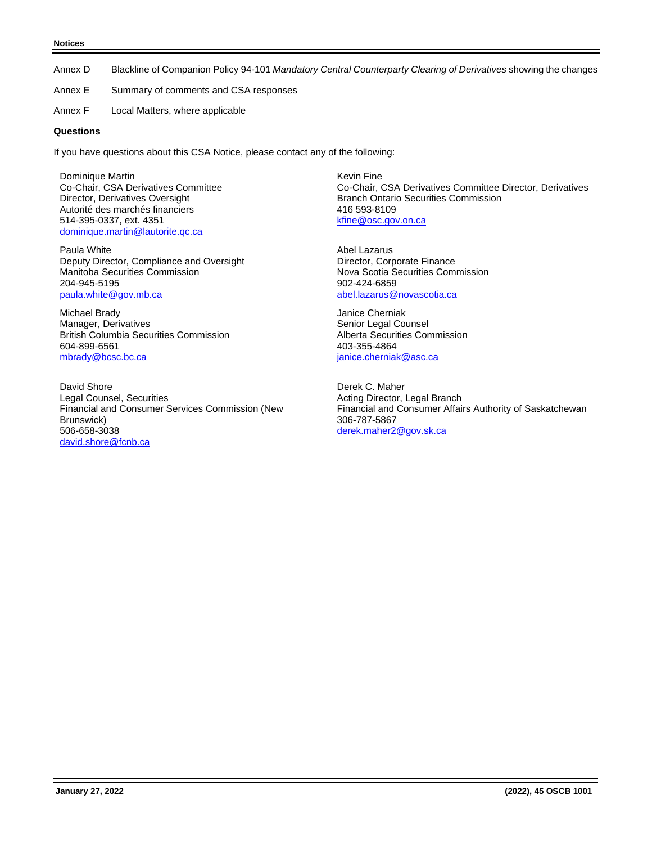#### **Notices**

Annex D Blackline of Companion Policy 94-101 *Mandatory Central Counterparty Clearing of Derivatives* showing the changes

- Annex E Summary of comments and CSA responses
- Annex F Local Matters, where applicable

## **Questions**

If you have questions about this CSA Notice, please contact any of the following:

Dominique Martin Co-Chair, CSA Derivatives Committee Director, Derivatives Oversight Autorité des marchés financiers 514-395-0337, ext. 4351 [dominique.martin@lautorite.qc.ca](mailto:dominique.martin@lautorite.qc.ca)

Paula White Deputy Director, Compliance and Oversight Manitoba Securities Commission 204-945-5195 [paula.white@gov.mb.ca](mailto:paula.white@gov.mb.ca)

Michael Brady Manager, Derivatives British Columbia Securities Commission 604-899-6561 [mbrady@bcsc.bc.ca](mailto:mbrady@bcsc.bc.ca)

David Shore Legal Counsel, Securities Financial and Consumer Services Commission (New Brunswick) 506-658-3038 [david.shore@fcnb.ca](mailto:david.shore@fcnb.ca)

Kevin Fine Co-Chair, CSA Derivatives Committee Director, Derivatives Branch Ontario Securities Commission 416 593-8109 [kfine@osc.gov.on.ca](mailto:kfine@osc.gov.on.ca)

Abel Lazarus Director, Corporate Finance Nova Scotia Securities Commission 902-424-6859 [abel.lazarus@novascotia.ca](mailto:abel.lazarus@novascotia.ca)

Janice Cherniak Senior Legal Counsel Alberta Securities Commission 403-355-4864 janice.chernia[k@asc.ca](mailto:martin.mcgregor@asc.ca)

Derek C. Maher Acting Director, Legal Branch Financial and Consumer Affairs Authority of Saskatchewan 306-787-5867 [derek.maher2@gov.sk.ca](mailto:derek.maher2@gov.sk.ca)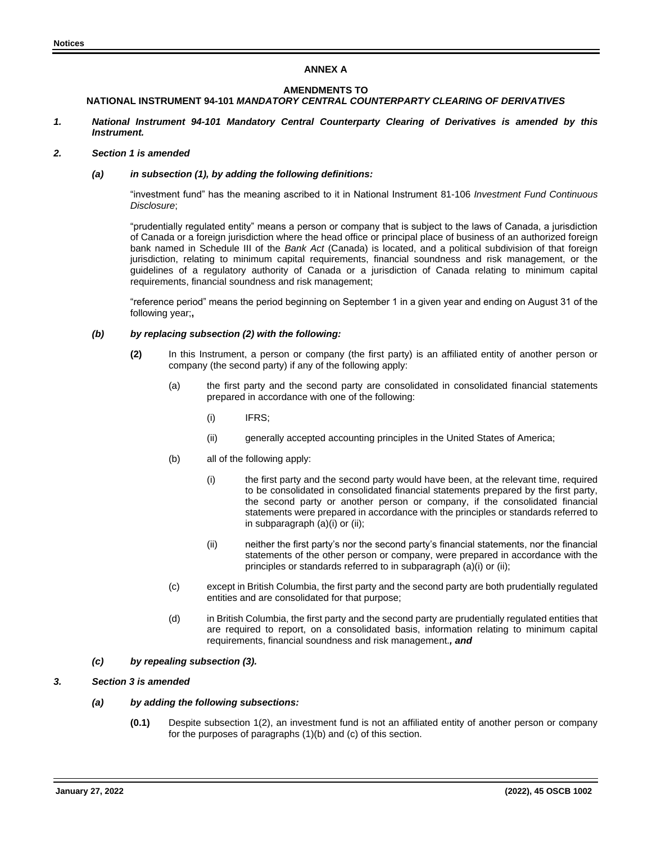## **ANNEX A**

# **AMENDMENTS TO**

## **NATIONAL INSTRUMENT 94-101** *MANDATORY CENTRAL COUNTERPARTY CLEARING OF DERIVATIVES*

*1. National Instrument 94-101 Mandatory Central Counterparty Clearing of Derivatives is amended by this Instrument.*

## *2. Section 1 is amended*

### *(a) in subsection (1), by adding the following definitions:*

"investment fund" has the meaning ascribed to it in National Instrument 81-106 *Investment Fund Continuous Disclosure*;

"prudentially regulated entity" means a person or company that is subject to the laws of Canada, a jurisdiction of Canada or a foreign jurisdiction where the head office or principal place of business of an authorized foreign bank named in Schedule III of the *Bank Act* (Canada) is located, and a political subdivision of that foreign jurisdiction, relating to minimum capital requirements, financial soundness and risk management, or the guidelines of a regulatory authority of Canada or a jurisdiction of Canada relating to minimum capital requirements, financial soundness and risk management;

"reference period" means the period beginning on September 1 in a given year and ending on August 31 of the following year;**,**

### *(b) by replacing subsection (2) with the following:*

- **(2)** In this Instrument, a person or company (the first party) is an affiliated entity of another person or company (the second party) if any of the following apply:
	- (a) the first party and the second party are consolidated in consolidated financial statements prepared in accordance with one of the following:
		- (i) IFRS;
		- (ii) generally accepted accounting principles in the United States of America;
	- (b) all of the following apply:
		- (i) the first party and the second party would have been, at the relevant time, required to be consolidated in consolidated financial statements prepared by the first party, the second party or another person or company, if the consolidated financial statements were prepared in accordance with the principles or standards referred to in subparagraph (a)(i) or (ii);
		- (ii) neither the first party's nor the second party's financial statements, nor the financial statements of the other person or company, were prepared in accordance with the principles or standards referred to in subparagraph (a)(i) or (ii);
	- (c) except in British Columbia, the first party and the second party are both prudentially regulated entities and are consolidated for that purpose;
	- (d) in British Columbia, the first party and the second party are prudentially regulated entities that are required to report, on a consolidated basis, information relating to minimum capital requirements, financial soundness and risk management.*, and*
- *(c) by repealing subsection (3).*

## *3. Section 3 is amended*

## *(a) by adding the following subsections:*

**(0.1)** Despite subsection 1(2), an investment fund is not an affiliated entity of another person or company for the purposes of paragraphs (1)(b) and (c) of this section.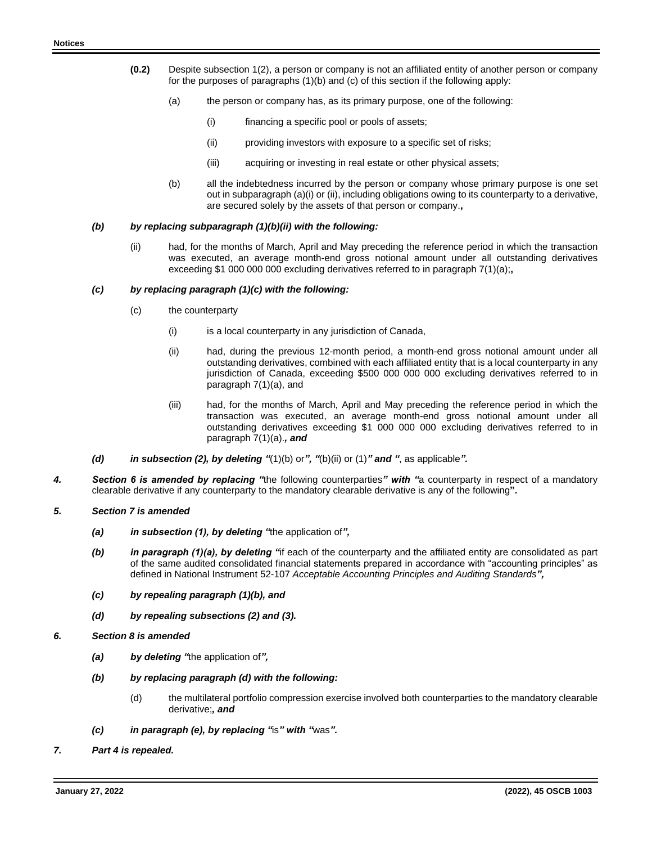- **(0.2)** Despite subsection 1(2), a person or company is not an affiliated entity of another person or company for the purposes of paragraphs  $(1)(b)$  and  $(c)$  of this section if the following apply:
	- (a) the person or company has, as its primary purpose, one of the following:
		- (i) financing a specific pool or pools of assets;
		- (ii) providing investors with exposure to a specific set of risks;
		- (iii) acquiring or investing in real estate or other physical assets;
	- (b) all the indebtedness incurred by the person or company whose primary purpose is one set out in subparagraph (a)(i) or (ii), including obligations owing to its counterparty to a derivative, are secured solely by the assets of that person or company.**,**

### *(b) by replacing subparagraph (1)(b)(ii) with the following:*

(ii) had, for the months of March, April and May preceding the reference period in which the transaction was executed, an average month-end gross notional amount under all outstanding derivatives exceeding \$1 000 000 000 excluding derivatives referred to in paragraph 7(1)(a);**,**

### *(c) by replacing paragraph (1)(c) with the following:*

- (c) the counterparty
	- (i) is a local counterparty in any jurisdiction of Canada,
	- (ii) had, during the previous 12-month period, a month-end gross notional amount under all outstanding derivatives, combined with each affiliated entity that is a local counterparty in any jurisdiction of Canada, exceeding \$500 000 000 000 excluding derivatives referred to in paragraph 7(1)(a), and
	- (iii) had, for the months of March, April and May preceding the reference period in which the transaction was executed, an average month-end gross notional amount under all outstanding derivatives exceeding \$1 000 000 000 excluding derivatives referred to in paragraph 7(1)(a).*, and*
- *(d) in subsection (2), by deleting "*(1)(b) or*", "*(b)(ii) or (1)*" and "*, as applicable*".*
- *4. Section 6 is amended by replacing "*the following counterparties*" with "*a counterparty in respect of a mandatory clearable derivative if any counterparty to the mandatory clearable derivative is any of the following**".**
- *5. Section 7 is amended*
	- *(a) in subsection (1), by deleting "*the application of*",*
	- *(b) in paragraph (1)(a), by deleting "*if each of the counterparty and the affiliated entity are consolidated as part of the same audited consolidated financial statements prepared in accordance with "accounting principles" as defined in National Instrument 52-107 *Acceptable Accounting Principles and Auditing Standards",*
	- *(c) by repealing paragraph (1)(b), and*
	- *(d) by repealing subsections (2) and (3).*
- *6. Section 8 is amended* 
	- *(a) by deleting "*the application of*",*
	- *(b) by replacing paragraph (d) with the following:*
		- (d) the multilateral portfolio compression exercise involved both counterparties to the mandatory clearable derivative;*, and*
	- *(c) in paragraph (e), by replacing "*is*" with "*was*".*
- *7. Part 4 is repealed.*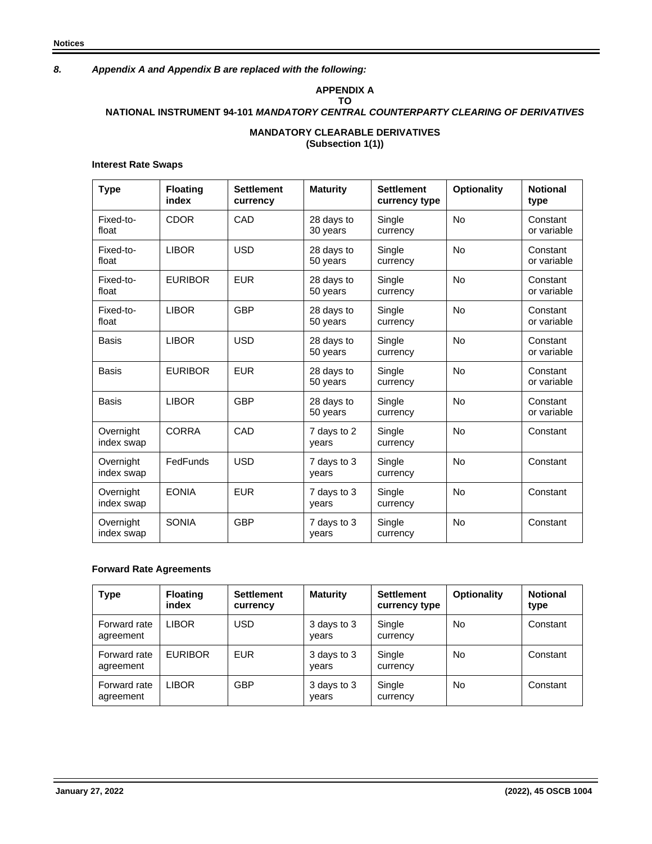# *8. Appendix A and Appendix B are replaced with the following:*

#### **APPENDIX A TO**

# **NATIONAL INSTRUMENT 94-101** *MANDATORY CENTRAL COUNTERPARTY CLEARING OF DERIVATIVES*

## **MANDATORY CLEARABLE DERIVATIVES (Subsection 1(1))**

## **Interest Rate Swaps**

| <b>Type</b>             | <b>Floating</b><br>index | <b>Settlement</b><br>currency | <b>Maturity</b>        | <b>Settlement</b><br>currency type | <b>Optionality</b> | <b>Notional</b><br>type |
|-------------------------|--------------------------|-------------------------------|------------------------|------------------------------------|--------------------|-------------------------|
| Fixed-to-<br>float      | <b>CDOR</b>              | CAD                           | 28 days to<br>30 years | Single<br>currency                 | <b>No</b>          | Constant<br>or variable |
| Fixed-to-<br>float      | <b>LIBOR</b>             | <b>USD</b>                    | 28 days to<br>50 years | Single<br>currency                 | <b>No</b>          | Constant<br>or variable |
| Fixed-to-<br>float      | <b>EURIBOR</b>           | <b>EUR</b>                    | 28 days to<br>50 years | Single<br>currency                 | <b>No</b>          | Constant<br>or variable |
| Fixed-to-<br>float      | <b>LIBOR</b>             | <b>GBP</b>                    | 28 days to<br>50 years | Single<br>currency                 | <b>No</b>          | Constant<br>or variable |
| Basis                   | <b>LIBOR</b>             | <b>USD</b>                    | 28 days to<br>50 years | Single<br>currency                 | <b>No</b>          | Constant<br>or variable |
| Basis                   | <b>EURIBOR</b>           | <b>EUR</b>                    | 28 days to<br>50 years | Single<br>currency                 | <b>No</b>          | Constant<br>or variable |
| <b>Basis</b>            | <b>LIBOR</b>             | <b>GBP</b>                    | 28 days to<br>50 years | Single<br>currency                 | <b>No</b>          | Constant<br>or variable |
| Overnight<br>index swap | <b>CORRA</b>             | CAD                           | 7 days to 2<br>vears   | Single<br>currency                 | <b>No</b>          | Constant                |
| Overnight<br>index swap | FedFunds                 | <b>USD</b>                    | 7 days to 3<br>vears   | Single<br>currency                 | <b>No</b>          | Constant                |
| Overnight<br>index swap | <b>EONIA</b>             | <b>EUR</b>                    | 7 days to 3<br>years   | Single<br>currency                 | <b>No</b>          | Constant                |
| Overnight<br>index swap | <b>SONIA</b>             | <b>GBP</b>                    | 7 days to 3<br>years   | Single<br>currency                 | <b>No</b>          | Constant                |

## **Forward Rate Agreements**

| <b>Type</b>               | <b>Floating</b><br>index | <b>Settlement</b><br>currency | <b>Maturity</b>      | <b>Settlement</b><br>currency type | <b>Optionality</b> | <b>Notional</b><br>type |
|---------------------------|--------------------------|-------------------------------|----------------------|------------------------------------|--------------------|-------------------------|
| Forward rate<br>agreement | <b>LIBOR</b>             | <b>USD</b>                    | 3 days to 3<br>vears | Single<br>currency                 | No                 | Constant                |
| Forward rate<br>agreement | <b>EURIBOR</b>           | <b>EUR</b>                    | 3 days to 3<br>vears | Single<br>currency                 | No                 | Constant                |
| Forward rate<br>agreement | <b>LIBOR</b>             | <b>GBP</b>                    | 3 days to 3<br>years | Single<br>currency                 | No                 | Constant                |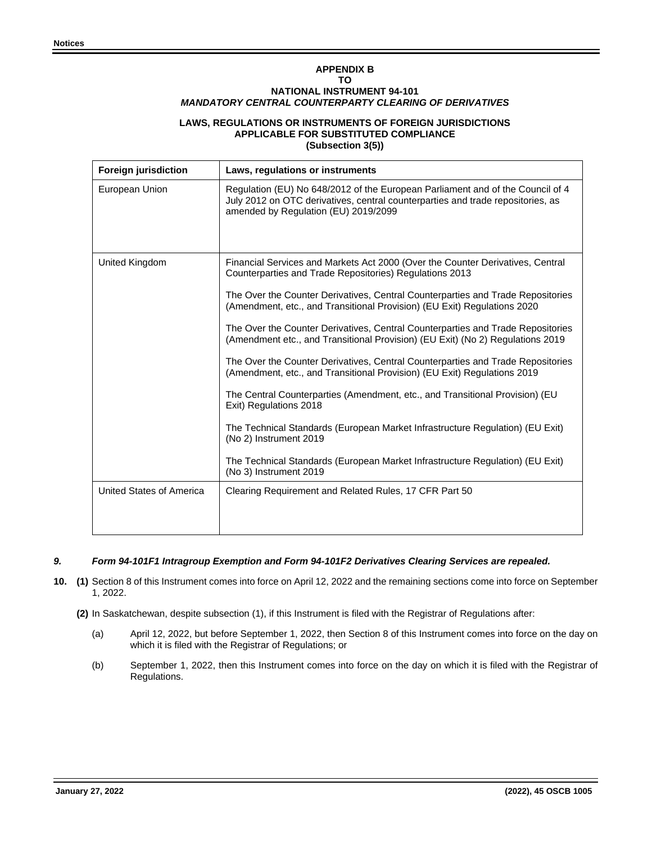# **APPENDIX B TO NATIONAL INSTRUMENT 94-101** *MANDATORY CENTRAL COUNTERPARTY CLEARING OF DERIVATIVES*

## **LAWS, REGULATIONS OR INSTRUMENTS OF FOREIGN JURISDICTIONS APPLICABLE FOR SUBSTITUTED COMPLIANCE (Subsection 3(5))**

| <b>Foreign jurisdiction</b> | Laws, regulations or instruments                                                                                                                                                                          |
|-----------------------------|-----------------------------------------------------------------------------------------------------------------------------------------------------------------------------------------------------------|
| European Union              | Regulation (EU) No 648/2012 of the European Parliament and of the Council of 4<br>July 2012 on OTC derivatives, central counterparties and trade repositories, as<br>amended by Regulation (EU) 2019/2099 |
| United Kingdom              | Financial Services and Markets Act 2000 (Over the Counter Derivatives, Central<br>Counterparties and Trade Repositories) Regulations 2013                                                                 |
|                             | The Over the Counter Derivatives, Central Counterparties and Trade Repositories<br>(Amendment, etc., and Transitional Provision) (EU Exit) Regulations 2020                                               |
|                             | The Over the Counter Derivatives, Central Counterparties and Trade Repositories<br>(Amendment etc., and Transitional Provision) (EU Exit) (No 2) Regulations 2019                                         |
|                             | The Over the Counter Derivatives, Central Counterparties and Trade Repositories<br>(Amendment, etc., and Transitional Provision) (EU Exit) Regulations 2019                                               |
|                             | The Central Counterparties (Amendment, etc., and Transitional Provision) (EU<br>Exit) Regulations 2018                                                                                                    |
|                             | The Technical Standards (European Market Infrastructure Regulation) (EU Exit)<br>(No 2) Instrument 2019                                                                                                   |
|                             | The Technical Standards (European Market Infrastructure Regulation) (EU Exit)<br>(No 3) Instrument 2019                                                                                                   |
| United States of America    | Clearing Requirement and Related Rules, 17 CFR Part 50                                                                                                                                                    |
|                             |                                                                                                                                                                                                           |

## *9. Form 94-101F1 Intragroup Exemption and Form 94-101F2 Derivatives Clearing Services are repealed.*

- **10. (1)** Section 8 of this Instrument comes into force on April 12, 2022 and the remaining sections come into force on September 1, 2022.
	- **(2)** In Saskatchewan, despite subsection (1), if this Instrument is filed with the Registrar of Regulations after:
		- (a) April 12, 2022, but before September 1, 2022, then Section 8 of this Instrument comes into force on the day on which it is filed with the Registrar of Regulations; or
		- (b) September 1, 2022, then this Instrument comes into force on the day on which it is filed with the Registrar of Regulations.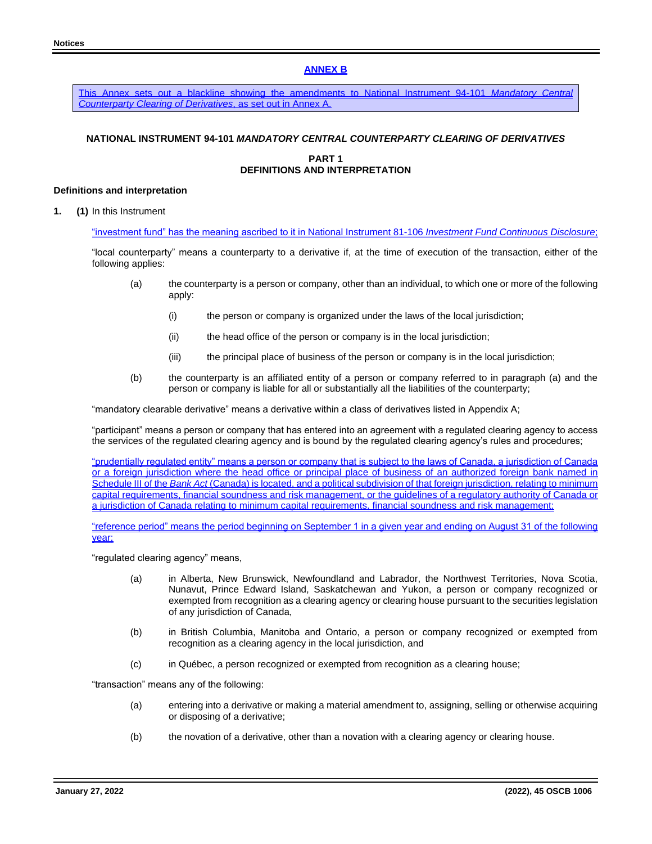## **ANNEX B**

This Annex sets out a blackline showing the amendments to National Instrument 94-101 *Mandatory Central Counterparty Clearing of Derivatives*, as set out in Annex A.

# **NATIONAL INSTRUMENT 94-101** *MANDATORY CENTRAL COUNTERPARTY CLEARING OF DERIVATIVES*

## **PART 1 DEFINITIONS AND INTERPRETATION**

## **Definitions and interpretation**

**1. (1)** In this Instrument

"investment fund" has the meaning ascribed to it in National Instrument 81-106 *Investment Fund Continuous Disclosure*;

"local counterparty" means a counterparty to a derivative if, at the time of execution of the transaction, either of the following applies:

- (a) the counterparty is a person or company, other than an individual, to which one or more of the following apply:
	- (i) the person or company is organized under the laws of the local jurisdiction;
	- (ii) the head office of the person or company is in the local jurisdiction;
	- (iii) the principal place of business of the person or company is in the local jurisdiction;
- (b) the counterparty is an affiliated entity of a person or company referred to in paragraph (a) and the person or company is liable for all or substantially all the liabilities of the counterparty;

"mandatory clearable derivative" means a derivative within a class of derivatives listed in Appendix A;

"participant" means a person or company that has entered into an agreement with a regulated clearing agency to access the services of the regulated clearing agency and is bound by the regulated clearing agency's rules and procedures;

"prudentially regulated entity" means a person or company that is subject to the laws of Canada, a jurisdiction of Canada or a foreign jurisdiction where the head office or principal place of business of an authorized foreign bank named in Schedule III of the *Bank Act* (Canada) is located, and a political subdivision of that foreign jurisdiction, relating to minimum capital requirements, financial soundness and risk management, or the guidelines of a regulatory authority of Canada or a jurisdiction of Canada relating to minimum capital requirements, financial soundness and risk management;

"reference period" means the period beginning on September 1 in a given year and ending on August 31 of the following year;

"regulated clearing agency" means,

- (a) in Alberta, New Brunswick, Newfoundland and Labrador, the Northwest Territories, Nova Scotia, Nunavut, Prince Edward Island, Saskatchewan and Yukon, a person or company recognized or exempted from recognition as a clearing agency or clearing house pursuant to the securities legislation of any jurisdiction of Canada,
- (b) in British Columbia, Manitoba and Ontario, a person or company recognized or exempted from recognition as a clearing agency in the local jurisdiction, and
- (c) in Québec, a person recognized or exempted from recognition as a clearing house;

"transaction" means any of the following:

- (a) entering into a derivative or making a material amendment to, assigning, selling or otherwise acquiring or disposing of a derivative;
- (b) the novation of a derivative, other than a novation with a clearing agency or clearing house.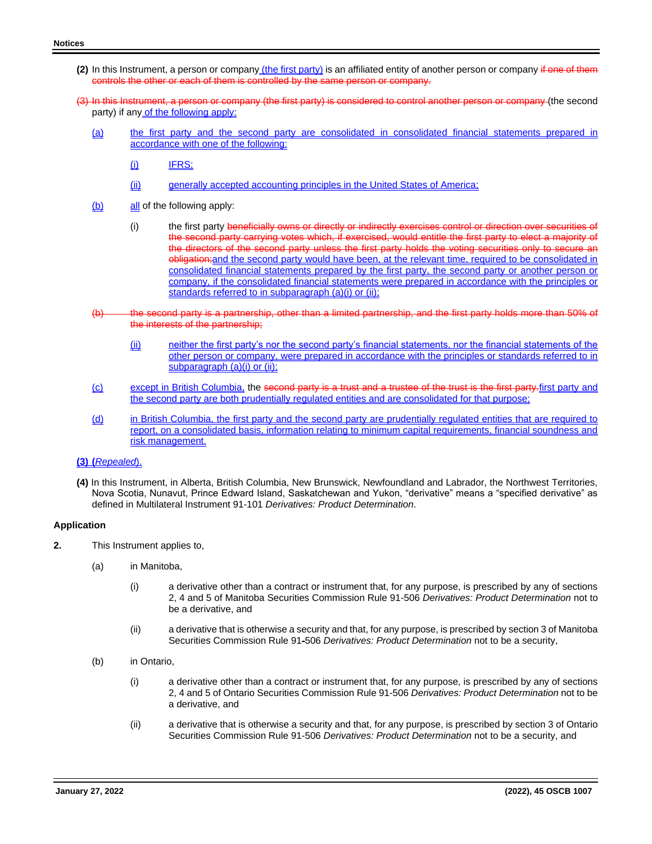- **(2)** In this Instrument, a person or company (the first party) is an affiliated entity of another person or company if one of them controls the other or each of them is controlled by the same person or company.
- (3) In this Instrument, a person or company (the first party) is considered to control another person or company (the second party) if any of the following apply:
	- (a) the first party and the second party are consolidated in consolidated financial statements prepared in accordance with one of the following:
		- $(i)$  IFRS;
		- (ii) generally accepted accounting principles in the United States of America;
	- $(b)$  all of the following apply:
		- (i) the first party beneficially owns or directly or indirectly exercises control or direction over securities second party carrying votes which, if exercised, would entitle the first party to elect a majority of directors of the second party unless the first party holds the voting securities only to secure an obligation;and the second party would have been, at the relevant time, required to be consolidated in consolidated financial statements prepared by the first party, the second party or another person or company, if the consolidated financial statements were prepared in accordance with the principles or standards referred to in subparagraph (a)(i) or (ii);
	- the second party is a partnership, other than a limited partnership, and the first party holds more than 50% of the interests of the partnership;
		- (ii) neither the first party's nor the second party's financial statements, nor the financial statements of the other person or company, were prepared in accordance with the principles or standards referred to in subparagraph (a)(i) or (ii);
	- (c) except in British Columbia, the second party is a trust and a trustee of the trust is the first party.first party and the second party are both prudentially regulated entities and are consolidated for that purpose;
	- (d) in British Columbia, the first party and the second party are prudentially regulated entities that are required to report, on a consolidated basis, information relating to minimum capital requirements, financial soundness and risk management.

## **(3) (***Repealed*).

**(4)** In this Instrument, in Alberta, British Columbia, New Brunswick, Newfoundland and Labrador, the Northwest Territories, Nova Scotia, Nunavut, Prince Edward Island, Saskatchewan and Yukon, "derivative" means a "specified derivative" as defined in Multilateral Instrument 91-101 *Derivatives: Product Determination*.

#### **Application**

- **2.** This Instrument applies to,
	- (a) in Manitoba,
		- (i) a derivative other than a contract or instrument that, for any purpose, is prescribed by any of sections 2, 4 and 5 of Manitoba Securities Commission Rule 91-506 *Derivatives: Product Determination* not to be a derivative, and
		- (ii) a derivative that is otherwise a security and that, for any purpose, is prescribed by section 3 of Manitoba Securities Commission Rule 91-506 *Derivatives: Product Determination* not to be a security,
	- (b) in Ontario,
		- (i) a derivative other than a contract or instrument that, for any purpose, is prescribed by any of sections 2, 4 and 5 of Ontario Securities Commission Rule 91-506 *Derivatives: Product Determination* not to be a derivative, and
		- (ii) a derivative that is otherwise a security and that, for any purpose, is prescribed by section 3 of Ontario Securities Commission Rule 91-506 *Derivatives: Product Determination* not to be a security, and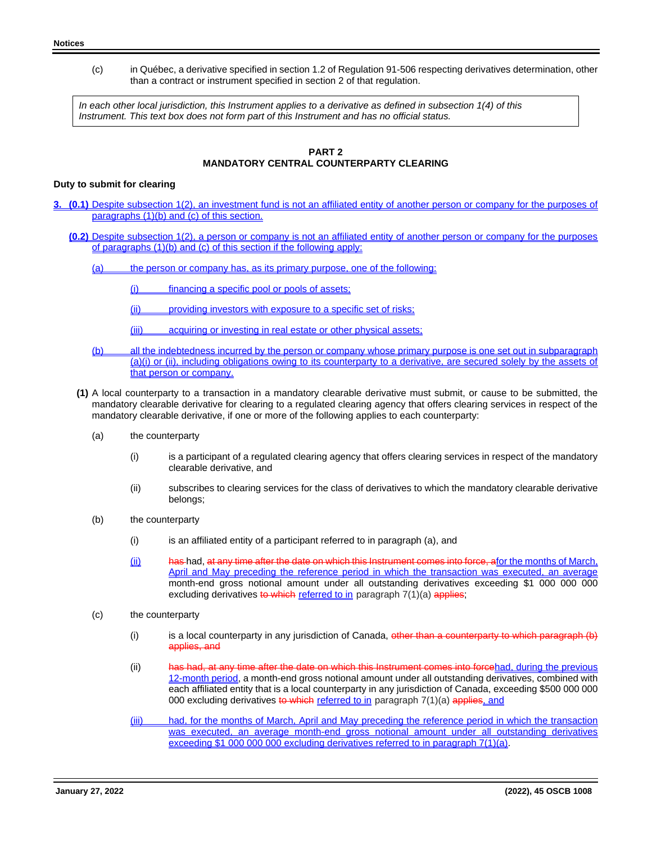(c) in Québec, a derivative specified in section 1.2 of Regulation 91-506 respecting derivatives determination, other than a contract or instrument specified in section 2 of that regulation.

*In each other local jurisdiction, this Instrument applies to a derivative as defined in subsection 1(4) of this Instrument. This text box does not form part of this Instrument and has no official status.* 

## **PART 2 MANDATORY CENTRAL COUNTERPARTY CLEARING**

## **Duty to submit for clearing**

- **3. (0.1)** Despite subsection 1(2), an investment fund is not an affiliated entity of another person or company for the purposes of paragraphs (1)(b) and (c) of this section.
	- **(0.2)** Despite subsection 1(2), a person or company is not an affiliated entity of another person or company for the purposes of paragraphs (1)(b) and (c) of this section if the following apply:
		- (a) the person or company has, as its primary purpose, one of the following:
			- (i) financing a specific pool or pools of assets;
			- (ii) providing investors with exposure to a specific set of risks;
			- (iii) acquiring or investing in real estate or other physical assets;
		- (b) all the indebtedness incurred by the person or company whose primary purpose is one set out in subparagraph (a)(i) or (ii), including obligations owing to its counterparty to a derivative, are secured solely by the assets of that person or company.
		- **(1)** A local counterparty to a transaction in a mandatory clearable derivative must submit, or cause to be submitted, the mandatory clearable derivative for clearing to a regulated clearing agency that offers clearing services in respect of the mandatory clearable derivative, if one or more of the following applies to each counterparty:
			- (a) the counterparty
				- (i) is a participant of a regulated clearing agency that offers clearing services in respect of the mandatory clearable derivative, and
				- (ii) subscribes to clearing services for the class of derivatives to which the mandatory clearable derivative belongs;
			- (b) the counterparty
				- (i) is an affiliated entity of a participant referred to in paragraph (a), and
				- (ii) has had, at any time after the date on which this Instrument comes into force, afor the months of March, April and May preceding the reference period in which the transaction was executed, an average month-end gross notional amount under all outstanding derivatives exceeding \$1 000 000 000 excluding derivatives to which referred to in paragraph 7(1)(a) applies;
			- (c) the counterparty
				- (i) is a local counterparty in any jurisdiction of Canada, other than a counterparty to which paragraph  $(b)$ applies, and
				- (ii) has had, at any time after the date on which this Instrument comes into forcehad, during the previous 12-month period, a month-end gross notional amount under all outstanding derivatives, combined with each affiliated entity that is a local counterparty in any jurisdiction of Canada, exceeding \$500 000 000 000 excluding derivatives to which referred to in paragraph  $7(1)(a)$  applies, and
				- (iii) had, for the months of March, April and May preceding the reference period in which the transaction was executed, an average month-end gross notional amount under all outstanding derivatives exceeding \$1 000 000 000 excluding derivatives referred to in paragraph 7(1)(a).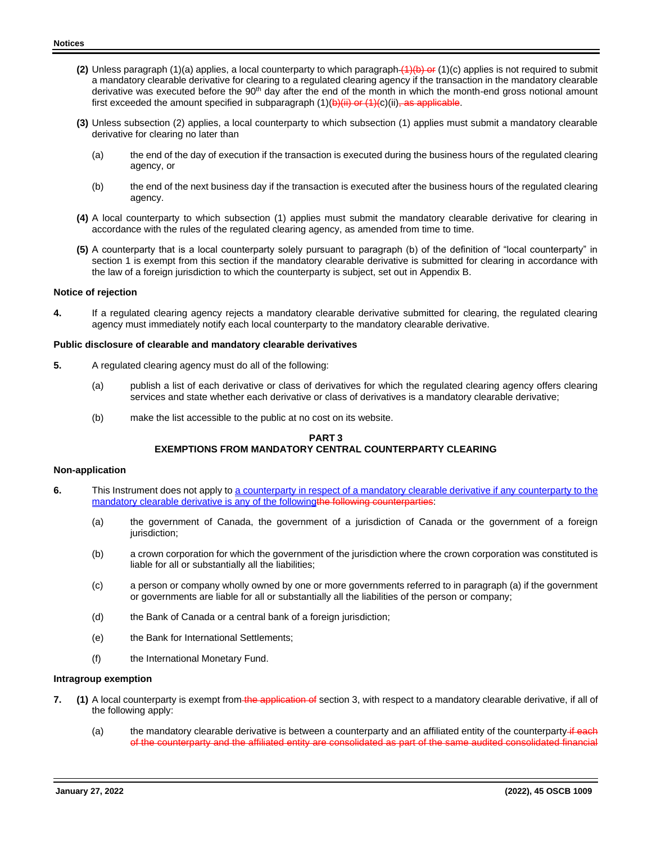- **(2)** Unless paragraph (1)(a) applies, a local counterparty to which paragraph (1)(b) or (1)(c) applies is not required to submit a mandatory clearable derivative for clearing to a regulated clearing agency if the transaction in the mandatory clearable derivative was executed before the 90<sup>th</sup> day after the end of the month in which the month-end gross notional amount first exceeded the amount specified in subparagraph  $(1)(b)(ii)$  or  $(1)(c)(iii)$ , as applicable.
- **(3)** Unless subsection (2) applies, a local counterparty to which subsection (1) applies must submit a mandatory clearable derivative for clearing no later than
	- (a) the end of the day of execution if the transaction is executed during the business hours of the regulated clearing agency, or
	- (b) the end of the next business day if the transaction is executed after the business hours of the regulated clearing agency.
- **(4)** A local counterparty to which subsection (1) applies must submit the mandatory clearable derivative for clearing in accordance with the rules of the regulated clearing agency, as amended from time to time.
- **(5)** A counterparty that is a local counterparty solely pursuant to paragraph (b) of the definition of "local counterparty" in section 1 is exempt from this section if the mandatory clearable derivative is submitted for clearing in accordance with the law of a foreign jurisdiction to which the counterparty is subject, set out in Appendix B.

#### **Notice of rejection**

**4.** If a regulated clearing agency rejects a mandatory clearable derivative submitted for clearing, the regulated clearing agency must immediately notify each local counterparty to the mandatory clearable derivative.

#### **Public disclosure of clearable and mandatory clearable derivatives**

- **5.** A regulated clearing agency must do all of the following:
	- (a) publish a list of each derivative or class of derivatives for which the regulated clearing agency offers clearing services and state whether each derivative or class of derivatives is a mandatory clearable derivative;
	- (b) make the list accessible to the public at no cost on its website.

## **PART 3 EXEMPTIONS FROM MANDATORY CENTRAL COUNTERPARTY CLEARING**

#### **Non-application**

- **6.** This Instrument does not apply to a counterparty in respect of a mandatory clearable derivative if any counterparty to the mandatory clearable derivative is any of the followingthe following counterparties:
	- (a) the government of Canada, the government of a jurisdiction of Canada or the government of a foreign jurisdiction;
	- (b) a crown corporation for which the government of the jurisdiction where the crown corporation was constituted is liable for all or substantially all the liabilities;
	- (c) a person or company wholly owned by one or more governments referred to in paragraph (a) if the government or governments are liable for all or substantially all the liabilities of the person or company;
	- (d) the Bank of Canada or a central bank of a foreign jurisdiction;
	- (e) the Bank for International Settlements;
	- (f) the International Monetary Fund.

#### **Intragroup exemption**

- **7.** (1) A local counterparty is exempt from the application of section 3, with respect to a mandatory clearable derivative, if all of the following apply:
	- (a) the mandatory clearable derivative is between a counterparty and an affiliated entity of the counterparty  $\ddot{\textbf{u}}$  each of the counterparty and the affiliated entity are consolidated as part of the same audited consolidated financial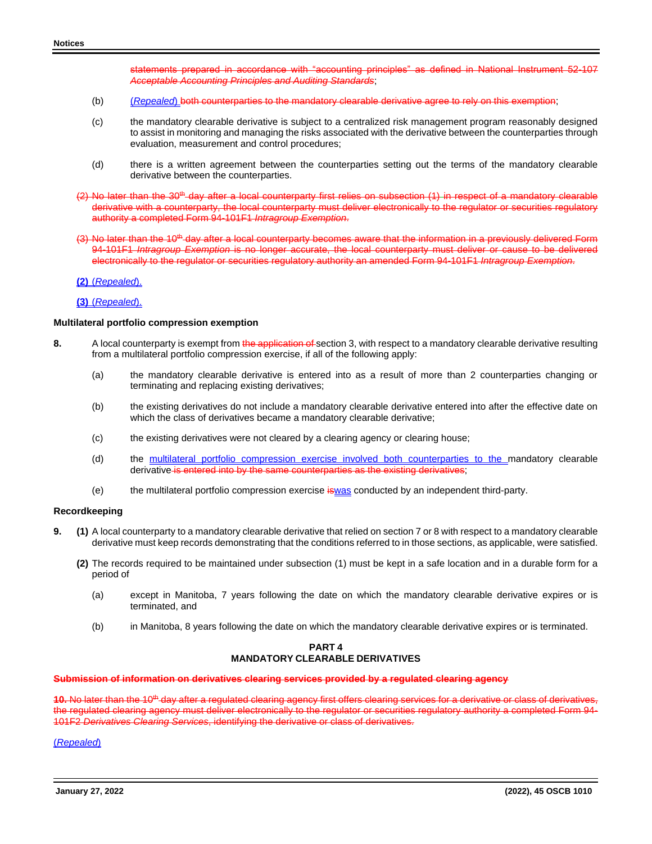statements prepared in accordance with "accounting principles" as defined in National Instrument 52-107 *Acceptable Accounting Principles and Auditing Standards*;

- (b) (*Repealed*) both counterparties to the mandatory clearable derivative agree to rely on this exemption;
- (c) the mandatory clearable derivative is subject to a centralized risk management program reasonably designed to assist in monitoring and managing the risks associated with the derivative between the counterparties through evaluation, measurement and control procedures;
- (d) there is a written agreement between the counterparties setting out the terms of the mandatory clearable derivative between the counterparties.
- $(2)$  No later than the 30<sup>th</sup> day after a local counterparty first relies on subsection  $(1)$  in respect of a mandatory clearable derivative with a counterparty, the local counterparty must deliver electronically to the regulator or securities regulatory authority a completed Form 94-101F1 *Intragroup Exemption*.
- (3) No later than the 10<sup>th</sup> day after a local counterparty becomes aware that the information in a previously delivered Form 94-101F1 *Intragroup Exemption* is no longer accurate, the local counterparty must deliver or cause to be delivered electronically to the regulator or securities regulatory authority an amended Form 94-101F1 *Intragroup Exemption*.

**(2)** (*Repealed*).

**(3)** (*Repealed*).

#### **Multilateral portfolio compression exemption**

- **8.** A local counterparty is exempt from the application of section 3, with respect to a mandatory clearable derivative resulting from a multilateral portfolio compression exercise, if all of the following apply:
	- (a) the mandatory clearable derivative is entered into as a result of more than 2 counterparties changing or terminating and replacing existing derivatives;
	- (b) the existing derivatives do not include a mandatory clearable derivative entered into after the effective date on which the class of derivatives became a mandatory clearable derivative;
	- (c) the existing derivatives were not cleared by a clearing agency or clearing house;
	- (d) the multilateral portfolio compression exercise involved both counterparties to the mandatory clearable derivative is entered into by the same counterparties as the existing derivatives;
	- (e) the multilateral portfolio compression exercise is was conducted by an independent third-party.

#### **Recordkeeping**

- **9. (1)** A local counterparty to a mandatory clearable derivative that relied on section 7 or 8 with respect to a mandatory clearable derivative must keep records demonstrating that the conditions referred to in those sections, as applicable, were satisfied.
	- **(2)** The records required to be maintained under subsection (1) must be kept in a safe location and in a durable form for a period of
		- (a) except in Manitoba, 7 years following the date on which the mandatory clearable derivative expires or is terminated, and
		- (b) in Manitoba, 8 years following the date on which the mandatory clearable derivative expires or is terminated.

## **PART 4 MANDATORY CLEARABLE DERIVATIVES**

#### **Submission of information on derivatives clearing services provided by a regulated clearing agency**

**10.** No later than the 10<sup>th</sup> day after a regulated clearing agency first offers clearing services for a derivative or class of derivatives,<br>the regulated clearing agency must deliver electronically to the regulator or se the regulated clearing agency must deliver electronically to the regulator or securities regulatory authority a 101F2 *Derivatives Clearing Services*, identifying the derivative or class of derivatives.

(*Repealed*)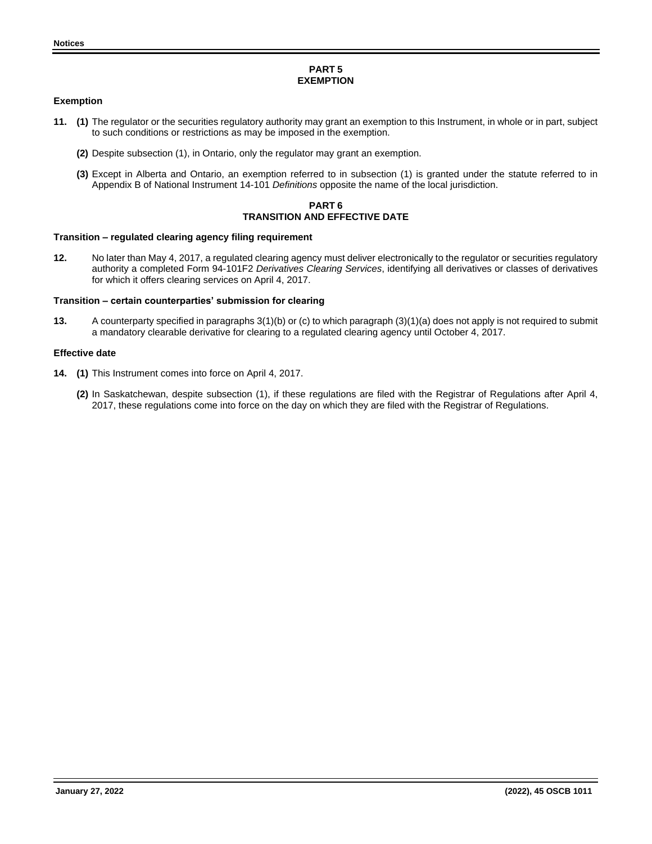## **PART 5 EXEMPTION**

## **Exemption**

- **11. (1)** The regulator or the securities regulatory authority may grant an exemption to this Instrument, in whole or in part, subject to such conditions or restrictions as may be imposed in the exemption.
	- **(2)** Despite subsection (1), in Ontario, only the regulator may grant an exemption.
	- **(3)** Except in Alberta and Ontario, an exemption referred to in subsection (1) is granted under the statute referred to in Appendix B of National Instrument 14-101 *Definitions* opposite the name of the local jurisdiction.

## **PART 6 TRANSITION AND EFFECTIVE DATE**

## **Transition – regulated clearing agency filing requirement**

**12.** No later than May 4, 2017, a regulated clearing agency must deliver electronically to the regulator or securities regulatory authority a completed Form 94-101F2 *Derivatives Clearing Services*, identifying all derivatives or classes of derivatives for which it offers clearing services on April 4, 2017.

## **Transition – certain counterparties' submission for clearing**

**13.** A counterparty specified in paragraphs 3(1)(b) or (c) to which paragraph (3)(1)(a) does not apply is not required to submit a mandatory clearable derivative for clearing to a regulated clearing agency until October 4, 2017.

## **Effective date**

- **14. (1)** This Instrument comes into force on April 4, 2017.
	- **(2)** In Saskatchewan, despite subsection (1), if these regulations are filed with the Registrar of Regulations after April 4, 2017, these regulations come into force on the day on which they are filed with the Registrar of Regulations.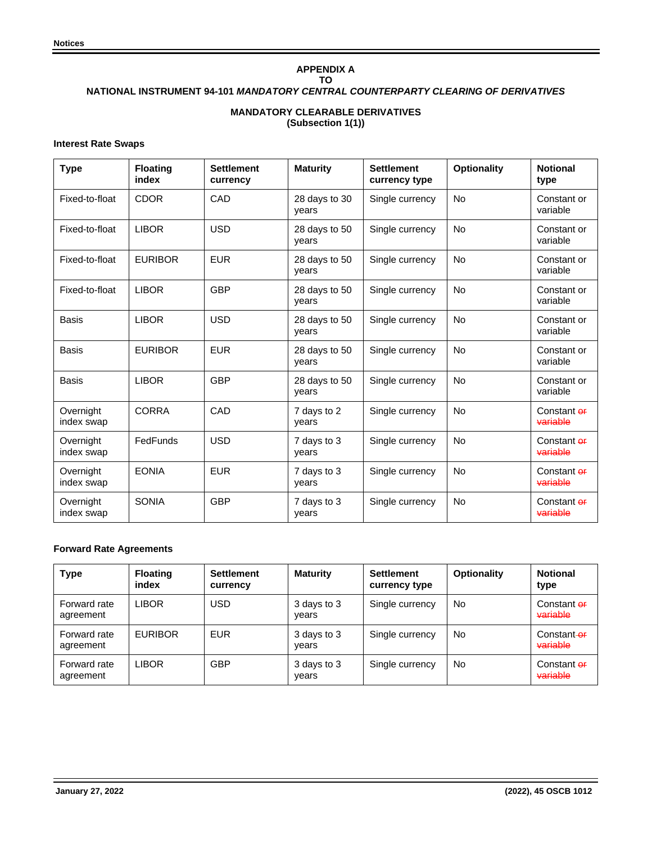# **APPENDIX A TO NATIONAL INSTRUMENT 94-101** *MANDATORY CENTRAL COUNTERPARTY CLEARING OF DERIVATIVES* **MANDATORY CLEARABLE DERIVATIVES**

**(Subsection 1(1))**

## **Interest Rate Swaps**

| <b>Type</b>             | <b>Floating</b><br>index | <b>Settlement</b><br>currency | <b>Maturity</b>        | <b>Settlement</b><br>currency type | <b>Optionality</b> | <b>Notional</b><br>type |
|-------------------------|--------------------------|-------------------------------|------------------------|------------------------------------|--------------------|-------------------------|
| Fixed-to-float          | <b>CDOR</b>              | CAD                           | 28 days to 30<br>vears | Single currency                    | <b>No</b>          | Constant or<br>variable |
| Fixed-to-float          | <b>LIBOR</b>             | <b>USD</b>                    | 28 days to 50<br>years | Single currency                    | <b>No</b>          | Constant or<br>variable |
| Fixed-to-float          | <b>EURIBOR</b>           | <b>EUR</b>                    | 28 days to 50<br>years | Single currency                    | <b>No</b>          | Constant or<br>variable |
| Fixed-to-float          | <b>LIBOR</b>             | <b>GBP</b>                    | 28 days to 50<br>vears | Single currency                    | <b>No</b>          | Constant or<br>variable |
| <b>Basis</b>            | <b>LIBOR</b>             | <b>USD</b>                    | 28 days to 50<br>vears | Single currency                    | No                 | Constant or<br>variable |
| Basis                   | <b>EURIBOR</b>           | <b>EUR</b>                    | 28 days to 50<br>years | Single currency                    | <b>No</b>          | Constant or<br>variable |
| Basis                   | <b>LIBOR</b>             | <b>GBP</b>                    | 28 days to 50<br>vears | Single currency                    | <b>No</b>          | Constant or<br>variable |
| Overnight<br>index swap | <b>CORRA</b>             | CAD                           | 7 days to 2<br>vears   | Single currency                    | <b>No</b>          | Constant of<br>variable |
| Overnight<br>index swap | FedFunds                 | <b>USD</b>                    | 7 days to 3<br>vears   | Single currency                    | <b>No</b>          | Constant of<br>variable |
| Overnight<br>index swap | <b>EONIA</b>             | <b>EUR</b>                    | 7 days to 3<br>vears   | Single currency                    | <b>No</b>          | Constant of<br>variable |
| Overnight<br>index swap | <b>SONIA</b>             | <b>GBP</b>                    | 7 days to 3<br>years   | Single currency                    | <b>No</b>          | Constant of<br>variable |

## **Forward Rate Agreements**

| <b>Type</b>               | <b>Floating</b><br>index | <b>Settlement</b><br>currency | <b>Maturity</b>      | <b>Settlement</b><br>currency type | <b>Optionality</b> | <b>Notional</b><br>type            |
|---------------------------|--------------------------|-------------------------------|----------------------|------------------------------------|--------------------|------------------------------------|
| Forward rate<br>agreement | LIBOR                    | USD                           | 3 days to 3<br>years | Single currency                    | No                 | Constant <del>or</del><br>variable |
| Forward rate<br>agreement | <b>EURIBOR</b>           | <b>EUR</b>                    | 3 days to 3<br>years | Single currency                    | No                 | Constant-er<br>variable            |
| Forward rate<br>agreement | LIBOR                    | <b>GBP</b>                    | 3 days to 3<br>years | Single currency                    | No                 | Constant or<br>variable            |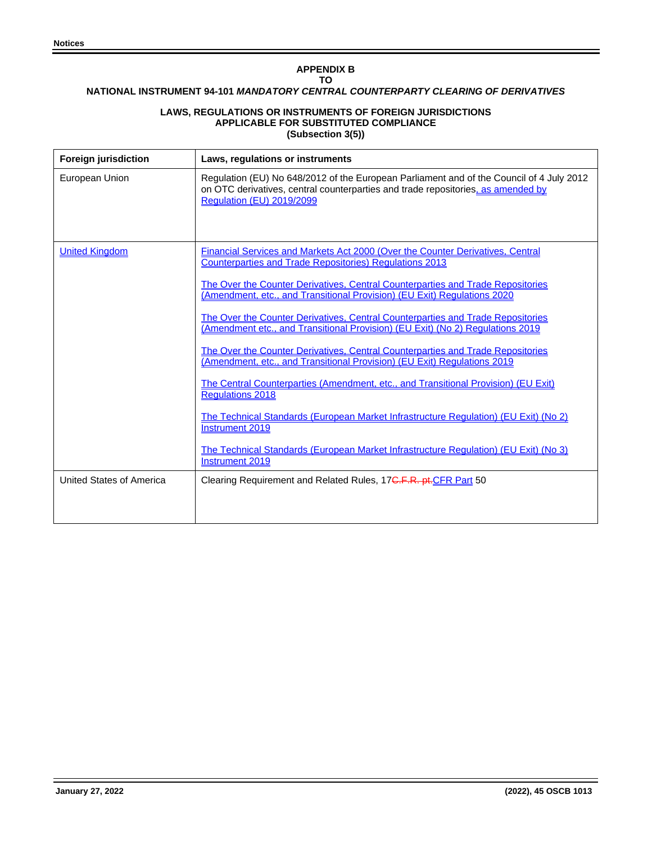## **APPENDIX B TO**

## **NATIONAL INSTRUMENT 94-101** *MANDATORY CENTRAL COUNTERPARTY CLEARING OF DERIVATIVES*

## **LAWS, REGULATIONS OR INSTRUMENTS OF FOREIGN JURISDICTIONS APPLICABLE FOR SUBSTITUTED COMPLIANCE (Subsection 3(5))**

| <b>Foreign jurisdiction</b>     | Laws, regulations or instruments                                                                                                                                                                          |
|---------------------------------|-----------------------------------------------------------------------------------------------------------------------------------------------------------------------------------------------------------|
| European Union                  | Regulation (EU) No 648/2012 of the European Parliament and of the Council of 4 July 2012<br>on OTC derivatives, central counterparties and trade repositories, as amended by<br>Regulation (EU) 2019/2099 |
| <b>United Kingdom</b>           | Financial Services and Markets Act 2000 (Over the Counter Derivatives, Central<br><b>Counterparties and Trade Repositories) Regulations 2013</b>                                                          |
|                                 | The Over the Counter Derivatives, Central Counterparties and Trade Repositories<br>(Amendment, etc., and Transitional Provision) (EU Exit) Regulations 2020                                               |
|                                 | The Over the Counter Derivatives, Central Counterparties and Trade Repositories<br>(Amendment etc., and Transitional Provision) (EU Exit) (No 2) Regulations 2019                                         |
|                                 | The Over the Counter Derivatives, Central Counterparties and Trade Repositories<br>(Amendment, etc., and Transitional Provision) (EU Exit) Regulations 2019                                               |
|                                 | <u>The Central Counterparties (Amendment, etc., and Transitional Provision) (EU Exit)</u><br><b>Regulations 2018</b>                                                                                      |
|                                 | <u>The Technical Standards (European Market Infrastructure Regulation) (EU Exit) (No 2)</u><br>Instrument 2019                                                                                            |
|                                 | <u>The Technical Standards (European Market Infrastructure Regulation) (EU Exit) (No 3)</u><br>Instrument 2019                                                                                            |
| <b>United States of America</b> | Clearing Requirement and Related Rules, 17 <del>C.F.R. pt.CFR Part</del> 50                                                                                                                               |
|                                 |                                                                                                                                                                                                           |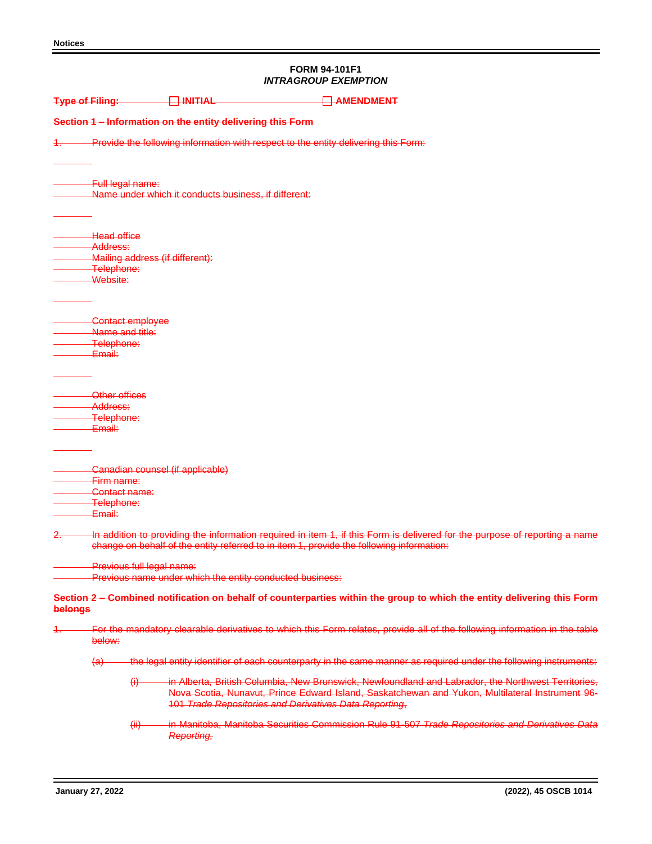# **FORM 94-101F1** *INTRAGROUP EXEMPTION*

| <b>Type of Filing:</b> |                                         |                           | $\Box$ initial                                             | <b>AMENDMENT</b>                                                                         |                                                                                                                                                                                                       |  |
|------------------------|-----------------------------------------|---------------------------|------------------------------------------------------------|------------------------------------------------------------------------------------------|-------------------------------------------------------------------------------------------------------------------------------------------------------------------------------------------------------|--|
|                        |                                         |                           | Section 1 - Information on the entity delivering this Form |                                                                                          |                                                                                                                                                                                                       |  |
|                        |                                         |                           |                                                            | Provide the following information with respect to the entity delivering this Form:       |                                                                                                                                                                                                       |  |
|                        | Full legal name:                        |                           | Name under which it conducts business, if different:       |                                                                                          |                                                                                                                                                                                                       |  |
|                        |                                         |                           |                                                            |                                                                                          |                                                                                                                                                                                                       |  |
|                        | <b>Head office</b><br>Address:          |                           |                                                            |                                                                                          |                                                                                                                                                                                                       |  |
|                        | Telephone:                              |                           | Mailing address (if different):                            |                                                                                          |                                                                                                                                                                                                       |  |
|                        | Website:                                |                           |                                                            |                                                                                          |                                                                                                                                                                                                       |  |
|                        |                                         | Contact employee          |                                                            |                                                                                          |                                                                                                                                                                                                       |  |
|                        | Name and title:<br>Telephone:<br>Email: |                           |                                                            |                                                                                          |                                                                                                                                                                                                       |  |
|                        |                                         |                           |                                                            |                                                                                          |                                                                                                                                                                                                       |  |
|                        | Other offices<br><del>Address:</del>    |                           |                                                            |                                                                                          |                                                                                                                                                                                                       |  |
|                        | Telephone:<br>Email:                    |                           |                                                            |                                                                                          |                                                                                                                                                                                                       |  |
|                        |                                         |                           |                                                            |                                                                                          |                                                                                                                                                                                                       |  |
|                        | Firm name:                              |                           | Canadian counsel (if applicable)                           |                                                                                          |                                                                                                                                                                                                       |  |
|                        | <del>Contact name:</del><br>Telephone:  |                           |                                                            |                                                                                          |                                                                                                                                                                                                       |  |
|                        | Email:                                  |                           |                                                            |                                                                                          | In addition to providing the information required in item 1, if this Form is delivered for the purpose of reporting a name                                                                            |  |
|                        |                                         |                           |                                                            | change on behalf of the entity referred to in item 1, provide the following information: |                                                                                                                                                                                                       |  |
|                        |                                         | Previous full legal name: | Previous name under which the entity conducted business:   |                                                                                          |                                                                                                                                                                                                       |  |
| belongs                |                                         |                           |                                                            |                                                                                          | Section 2 - Combined notification on behalf of counterparties within the group to which the entity delivering this Form                                                                               |  |
| 4.                     | below:                                  |                           |                                                            |                                                                                          | For the mandatory clearable derivatives to which this Form relates, provide all of the following information in the table                                                                             |  |
|                        | $\left( a\right)$                       |                           |                                                            |                                                                                          | the legal entity identifier of each counterparty in the same manner as required under the following instruments:                                                                                      |  |
|                        |                                         | $\leftrightarrow$         |                                                            | 101 Trade Repositories and Derivatives Data Reporting,                                   | in Alberta, British Columbia, New Brunswick, Newfoundland and Labrador, the Northwest Territories,<br>Nova Scotia, Nunavut, Prince Edward Island, Saskatchewan and Yukon, Multilateral Instrument 96- |  |
|                        |                                         | $\overline{(+)}$          | <b>Reporting,</b>                                          |                                                                                          | in Manitoba, Manitoba Securities Commission Rule 91-507 Trade Repositories and Derivatives Data                                                                                                       |  |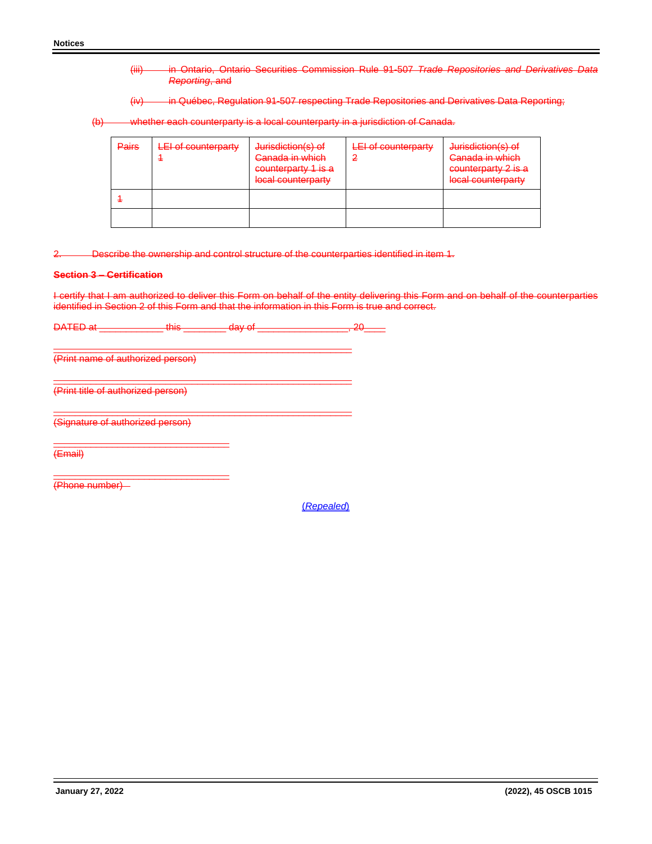- (iii) in Ontario, Ontario Securities Commission Rule 91-507 *Trade Repositories and Derivatives Data Reporting*, and
- (iv) in Québec, Regulation 91-507 respecting Trade Repositories and Derivatives Data Reporting;
- (b) whether each counterparty is a local counterparty in a jurisdiction of Canada.

| <b>Pairs</b> | LEI of counterparty | Jurisdiction(s) of<br>Canada in which<br>counterparty 1 is a<br>local counterparty | LEI of counterparty | Jurisdiction(s) of<br>Canada in which<br>counterparty 2 is a<br>local counterparty |
|--------------|---------------------|------------------------------------------------------------------------------------|---------------------|------------------------------------------------------------------------------------|
|              |                     |                                                                                    |                     |                                                                                    |
|              |                     |                                                                                    |                     |                                                                                    |

2. Describe the ownership and control structure of the counterparties identified in item 1.

### **Section 3 – Certification**

I certify that I am authorized to deliver this Form on behalf of the entity delivering this Form and on behalf of the counterparties identified in Section 2 of this Form and that the information in this Form is true and correct.

DATED at \_\_\_\_\_\_\_\_\_\_\_\_\_\_\_ this \_\_\_\_\_\_\_\_\_\_ day of \_\_\_\_\_\_\_\_\_\_\_\_\_\_\_\_\_\_\_\_, 20\_\_\_

\_\_\_\_\_\_\_\_\_\_\_\_\_\_\_\_\_\_\_\_\_\_\_\_\_\_\_\_\_\_\_\_\_\_\_\_\_\_\_\_\_\_\_\_\_\_\_\_\_\_\_\_\_\_\_\_

\_\_\_\_\_\_\_\_\_\_\_\_\_\_\_\_\_\_\_\_\_\_\_\_\_\_\_\_\_\_\_\_\_\_\_\_\_\_\_\_\_\_\_\_\_\_\_\_\_\_\_\_\_\_\_\_

\_\_\_\_\_\_\_\_\_\_\_\_\_\_\_\_\_\_\_\_\_\_\_\_\_\_\_\_\_\_\_\_\_\_\_\_\_\_\_\_\_\_\_\_\_\_\_\_\_\_\_\_\_\_\_\_

(Print name of authorized person)

(Print title of authorized person)

(Signature of authorized person)

\_\_\_\_\_\_\_\_\_\_\_\_\_\_\_\_\_\_\_\_\_\_\_\_\_\_\_\_\_\_\_\_\_

\_\_\_\_\_\_\_\_\_\_\_\_\_\_\_\_\_\_\_\_\_\_\_\_\_\_\_\_\_\_\_\_\_ (Email)

(Phone number)

(*Repealed*)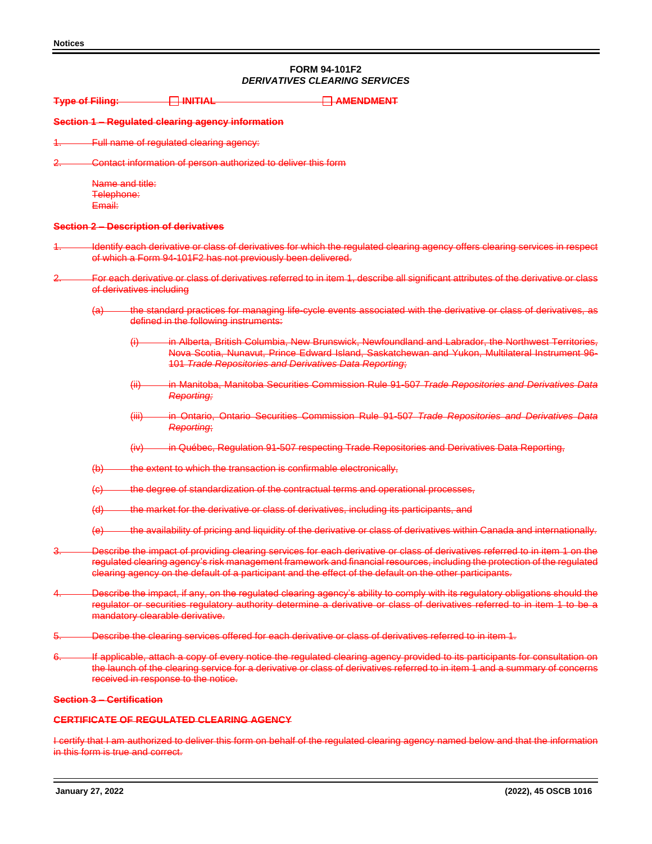## **FORM 94-101F2** *DERIVATIVES CLEARING SERVICES*

| <b>Type of Filing:</b> |                                         |                                  | $\Box$ initial                                                     | <b>AMENDMENT</b>                                                                                                                                                                                                                                                                                                                                                    |
|------------------------|-----------------------------------------|----------------------------------|--------------------------------------------------------------------|---------------------------------------------------------------------------------------------------------------------------------------------------------------------------------------------------------------------------------------------------------------------------------------------------------------------------------------------------------------------|
|                        |                                         |                                  | Section 1 - Regulated clearing agency information                  |                                                                                                                                                                                                                                                                                                                                                                     |
|                        |                                         |                                  | Full name of regulated clearing agency:                            |                                                                                                                                                                                                                                                                                                                                                                     |
|                        |                                         |                                  | Contact information of person authorized to deliver this form      |                                                                                                                                                                                                                                                                                                                                                                     |
|                        | Name and title:<br>Telephone:<br>Email: |                                  |                                                                    |                                                                                                                                                                                                                                                                                                                                                                     |
|                        |                                         |                                  | <b>Section 2 - Description of derivatives</b>                      |                                                                                                                                                                                                                                                                                                                                                                     |
|                        |                                         |                                  | of which a Form 94-101F2 has not previously been delivered.        | Identify each derivative or class of derivatives for which the regulated clearing agency offers clearing services in respect                                                                                                                                                                                                                                        |
|                        |                                         | of derivatives including         |                                                                    | For each derivative or class of derivatives referred to in item 1, describe all significant attributes of the derivative or class                                                                                                                                                                                                                                   |
|                        | $\left( a\right)$                       |                                  | defined in the following instruments:                              | the standard practices for managing life-cycle events associated with the derivative or class of derivatives, as                                                                                                                                                                                                                                                    |
|                        |                                         | $\leftrightarrow$                | 101 Trade Repositories and Derivatives Data Reporting;             | in Alberta, British Columbia, New Brunswick, Newfoundland and Labrador, the Northwest Territories,<br>Nova Scotia, Nunavut, Prince Edward Island, Saskatchewan and Yukon, Multilateral Instrument 96-                                                                                                                                                               |
|                        |                                         | $\overline{H}$                   | Reporting;                                                         | in Manitoba, Manitoba Securities Commission Rule 91-507 Trade Repositories and Derivatives Data                                                                                                                                                                                                                                                                     |
|                        |                                         | $\overline{(\overline{iii})}$    | Reporting;                                                         | in Ontario, Ontario Securities Commission Rule 91-507 Trade Repositories and Derivatives Data                                                                                                                                                                                                                                                                       |
|                        |                                         | $f(\mathbf{W})$                  |                                                                    | in Québec, Regulation 91-507 respecting Trade Repositories and Derivatives Data Reporting,                                                                                                                                                                                                                                                                          |
|                        | $\Theta$                                |                                  | the extent to which the transaction is confirmable electronically, |                                                                                                                                                                                                                                                                                                                                                                     |
|                        | $\left( \Theta \right)$                 |                                  |                                                                    | the degree of standardization of the contractual terms and operational processes,                                                                                                                                                                                                                                                                                   |
|                        | $\left( d \right)$                      |                                  |                                                                    | the market for the derivative or class of derivatives, including its participants, and                                                                                                                                                                                                                                                                              |
|                        | $\Theta$                                |                                  |                                                                    | the availability of pricing and liquidity of the derivative or class of derivatives within Canada and internationally.                                                                                                                                                                                                                                              |
|                        |                                         |                                  |                                                                    | Describe the impact of providing clearing services for each derivative or class of derivatives referred to in item 1 on the<br>regulated clearing agency's risk management framework and financial resources, including the protection of the regulated<br>clearing agency on the default of a participant and the effect of the default on the other participants. |
|                        |                                         |                                  | mandatory clearable derivative.                                    | Describe the impact, if any, on the regulated clearing agency's ability to comply with its regulatory obligations should the<br>regulator or securities regulatory authority determine a derivative or class of derivatives referred to in item 1 to be a                                                                                                           |
|                        |                                         |                                  |                                                                    | Describe the clearing services offered for each derivative or class of derivatives referred to in item 1.                                                                                                                                                                                                                                                           |
|                        |                                         |                                  | received in response to the notice.                                | If applicable, attach a copy of every notice the regulated clearing agency provided to its participants for consultation on<br>the launch of the clearing service for a derivative or class of derivatives referred to in item 1 and a summary of concerns                                                                                                          |
|                        |                                         | <b>Section 3 - Certification</b> |                                                                    |                                                                                                                                                                                                                                                                                                                                                                     |
|                        |                                         |                                  | <b>CERTIFICATE OF REGULATED CLEARING AGENCY</b>                    |                                                                                                                                                                                                                                                                                                                                                                     |

I certify that I am authorized to deliver this form on behalf of the regulated clearing agency named below and that the information in this form is true and correct.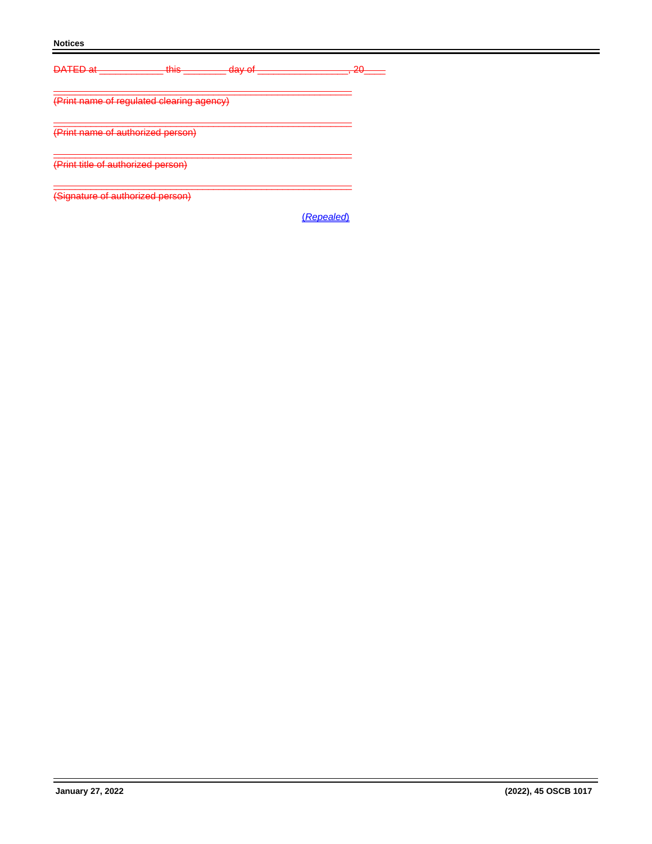## **Notices**

| <b>DATED</b> of<br>------                                                                | thie<br>नगण                               | day of<br><del>aay or</del> | ാറ<br>$\sim$ |
|------------------------------------------------------------------------------------------|-------------------------------------------|-----------------------------|--------------|
|                                                                                          | (Print name of regulated clearing agency) |                             |              |
| <u>(Drint name of authorized nercon)</u>                                                 |                                           |                             |              |
| <u>(Drint title of authorized nercon)</u><br><u>ו הווות ווווט טו ממוחסוובטט טטוסטוון</u> |                                           |                             |              |
| (Signature of authorized person)                                                         |                                           |                             |              |

(*Repealed*)

ī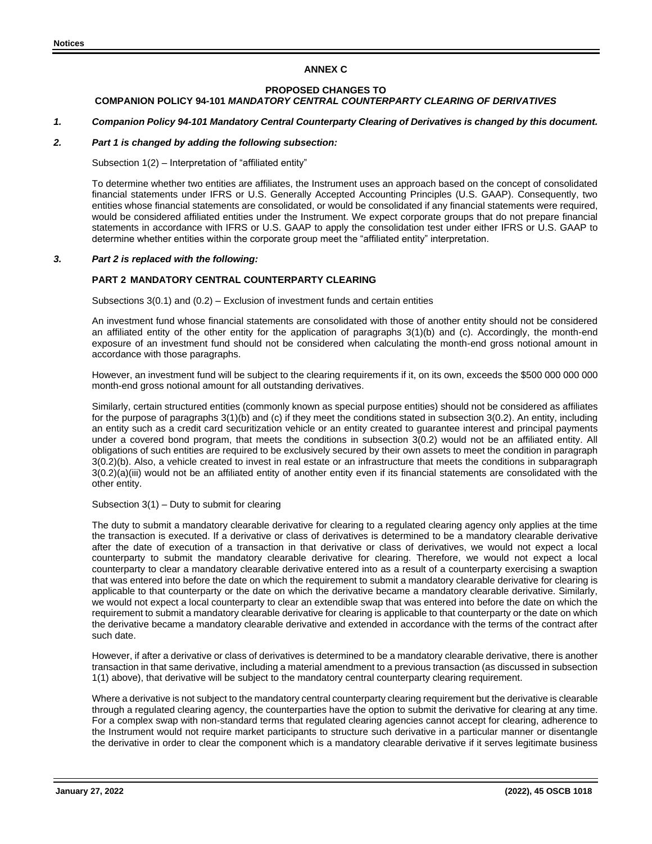## **ANNEX C**

#### **PROPOSED CHANGES TO COMPANION POLICY 94-101** *MANDATORY CENTRAL COUNTERPARTY CLEARING OF DERIVATIVES*

# *1. Companion Policy 94-101 Mandatory Central Counterparty Clearing of Derivatives is changed by this document.*

## *2. Part 1 is changed by adding the following subsection:*

Subsection 1(2) – Interpretation of "affiliated entity"

To determine whether two entities are affiliates, the Instrument uses an approach based on the concept of consolidated financial statements under IFRS or U.S. Generally Accepted Accounting Principles (U.S. GAAP). Consequently, two entities whose financial statements are consolidated, or would be consolidated if any financial statements were required, would be considered affiliated entities under the Instrument. We expect corporate groups that do not prepare financial statements in accordance with IFRS or U.S. GAAP to apply the consolidation test under either IFRS or U.S. GAAP to determine whether entities within the corporate group meet the "affiliated entity" interpretation.

## *3. Part 2 is replaced with the following:*

## **PART 2 MANDATORY CENTRAL COUNTERPARTY CLEARING**

Subsections 3(0.1) and (0.2) – Exclusion of investment funds and certain entities

An investment fund whose financial statements are consolidated with those of another entity should not be considered an affiliated entity of the other entity for the application of paragraphs 3(1)(b) and (c). Accordingly, the month-end exposure of an investment fund should not be considered when calculating the month-end gross notional amount in accordance with those paragraphs.

However, an investment fund will be subject to the clearing requirements if it, on its own, exceeds the \$500 000 000 000 month-end gross notional amount for all outstanding derivatives.

Similarly, certain structured entities (commonly known as special purpose entities) should not be considered as affiliates for the purpose of paragraphs 3(1)(b) and (c) if they meet the conditions stated in subsection 3(0.2). An entity, including an entity such as a credit card securitization vehicle or an entity created to guarantee interest and principal payments under a covered bond program, that meets the conditions in subsection 3(0.2) would not be an affiliated entity. All obligations of such entities are required to be exclusively secured by their own assets to meet the condition in paragraph 3(0.2)(b). Also, a vehicle created to invest in real estate or an infrastructure that meets the conditions in subparagraph 3(0.2)(a)(iii) would not be an affiliated entity of another entity even if its financial statements are consolidated with the other entity.

Subsection 3(1) – Duty to submit for clearing

The duty to submit a mandatory clearable derivative for clearing to a regulated clearing agency only applies at the time the transaction is executed. If a derivative or class of derivatives is determined to be a mandatory clearable derivative after the date of execution of a transaction in that derivative or class of derivatives, we would not expect a local counterparty to submit the mandatory clearable derivative for clearing. Therefore, we would not expect a local counterparty to clear a mandatory clearable derivative entered into as a result of a counterparty exercising a swaption that was entered into before the date on which the requirement to submit a mandatory clearable derivative for clearing is applicable to that counterparty or the date on which the derivative became a mandatory clearable derivative. Similarly, we would not expect a local counterparty to clear an extendible swap that was entered into before the date on which the requirement to submit a mandatory clearable derivative for clearing is applicable to that counterparty or the date on which the derivative became a mandatory clearable derivative and extended in accordance with the terms of the contract after such date.

However, if after a derivative or class of derivatives is determined to be a mandatory clearable derivative, there is another transaction in that same derivative, including a material amendment to a previous transaction (as discussed in subsection 1(1) above), that derivative will be subject to the mandatory central counterparty clearing requirement.

Where a derivative is not subject to the mandatory central counterparty clearing requirement but the derivative is clearable through a regulated clearing agency, the counterparties have the option to submit the derivative for clearing at any time. For a complex swap with non-standard terms that regulated clearing agencies cannot accept for clearing, adherence to the Instrument would not require market participants to structure such derivative in a particular manner or disentangle the derivative in order to clear the component which is a mandatory clearable derivative if it serves legitimate business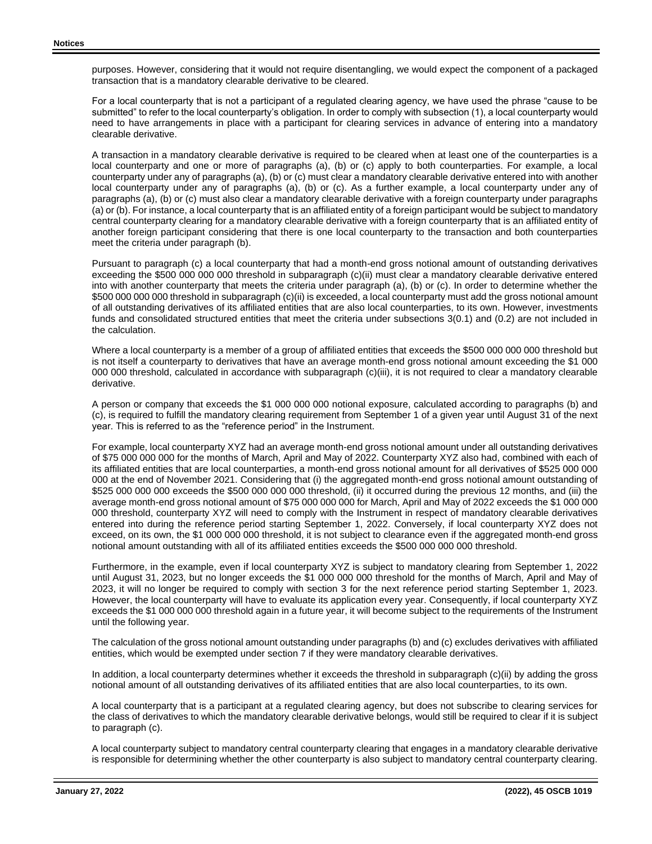purposes. However, considering that it would not require disentangling, we would expect the component of a packaged transaction that is a mandatory clearable derivative to be cleared.

For a local counterparty that is not a participant of a regulated clearing agency, we have used the phrase "cause to be submitted" to refer to the local counterparty's obligation. In order to comply with subsection (1), a local counterparty would need to have arrangements in place with a participant for clearing services in advance of entering into a mandatory clearable derivative.

A transaction in a mandatory clearable derivative is required to be cleared when at least one of the counterparties is a local counterparty and one or more of paragraphs (a), (b) or (c) apply to both counterparties. For example, a local counterparty under any of paragraphs (a), (b) or (c) must clear a mandatory clearable derivative entered into with another local counterparty under any of paragraphs (a), (b) or (c). As a further example, a local counterparty under any of paragraphs (a), (b) or (c) must also clear a mandatory clearable derivative with a foreign counterparty under paragraphs (a) or (b). For instance, a local counterparty that is an affiliated entity of a foreign participant would be subject to mandatory central counterparty clearing for a mandatory clearable derivative with a foreign counterparty that is an affiliated entity of another foreign participant considering that there is one local counterparty to the transaction and both counterparties meet the criteria under paragraph (b).

Pursuant to paragraph (c) a local counterparty that had a month-end gross notional amount of outstanding derivatives exceeding the \$500 000 000 000 threshold in subparagraph (c)(ii) must clear a mandatory clearable derivative entered into with another counterparty that meets the criteria under paragraph (a), (b) or (c). In order to determine whether the \$500 000 000 000 threshold in subparagraph (c)(ii) is exceeded, a local counterparty must add the gross notional amount of all outstanding derivatives of its affiliated entities that are also local counterparties, to its own. However, investments funds and consolidated structured entities that meet the criteria under subsections 3(0.1) and (0.2) are not included in the calculation.

Where a local counterparty is a member of a group of affiliated entities that exceeds the \$500 000 000 000 threshold but is not itself a counterparty to derivatives that have an average month-end gross notional amount exceeding the \$1 000 000 000 threshold, calculated in accordance with subparagraph (c)(iii), it is not required to clear a mandatory clearable derivative.

A person or company that exceeds the \$1 000 000 000 notional exposure, calculated according to paragraphs (b) and (c), is required to fulfill the mandatory clearing requirement from September 1 of a given year until August 31 of the next year. This is referred to as the "reference period" in the Instrument.

For example, local counterparty XYZ had an average month-end gross notional amount under all outstanding derivatives of \$75 000 000 000 for the months of March, April and May of 2022. Counterparty XYZ also had, combined with each of its affiliated entities that are local counterparties, a month-end gross notional amount for all derivatives of \$525 000 000 000 at the end of November 2021. Considering that (i) the aggregated month-end gross notional amount outstanding of \$525 000 000 000 exceeds the \$500 000 000 000 threshold, (ii) it occurred during the previous 12 months, and (iii) the average month-end gross notional amount of \$75 000 000 000 for March, April and May of 2022 exceeds the \$1 000 000 000 threshold, counterparty XYZ will need to comply with the Instrument in respect of mandatory clearable derivatives entered into during the reference period starting September 1, 2022. Conversely, if local counterparty XYZ does not exceed, on its own, the \$1 000 000 000 threshold, it is not subject to clearance even if the aggregated month-end gross notional amount outstanding with all of its affiliated entities exceeds the \$500 000 000 000 threshold.

Furthermore, in the example, even if local counterparty XYZ is subject to mandatory clearing from September 1, 2022 until August 31, 2023, but no longer exceeds the \$1 000 000 000 threshold for the months of March, April and May of 2023, it will no longer be required to comply with section 3 for the next reference period starting September 1, 2023. However, the local counterparty will have to evaluate its application every year. Consequently, if local counterparty XYZ exceeds the \$1 000 000 000 threshold again in a future year, it will become subject to the requirements of the Instrument until the following year.

The calculation of the gross notional amount outstanding under paragraphs (b) and (c) excludes derivatives with affiliated entities, which would be exempted under section 7 if they were mandatory clearable derivatives.

In addition, a local counterparty determines whether it exceeds the threshold in subparagraph (c)(ii) by adding the gross notional amount of all outstanding derivatives of its affiliated entities that are also local counterparties, to its own.

A local counterparty that is a participant at a regulated clearing agency, but does not subscribe to clearing services for the class of derivatives to which the mandatory clearable derivative belongs, would still be required to clear if it is subject to paragraph (c).

A local counterparty subject to mandatory central counterparty clearing that engages in a mandatory clearable derivative is responsible for determining whether the other counterparty is also subject to mandatory central counterparty clearing.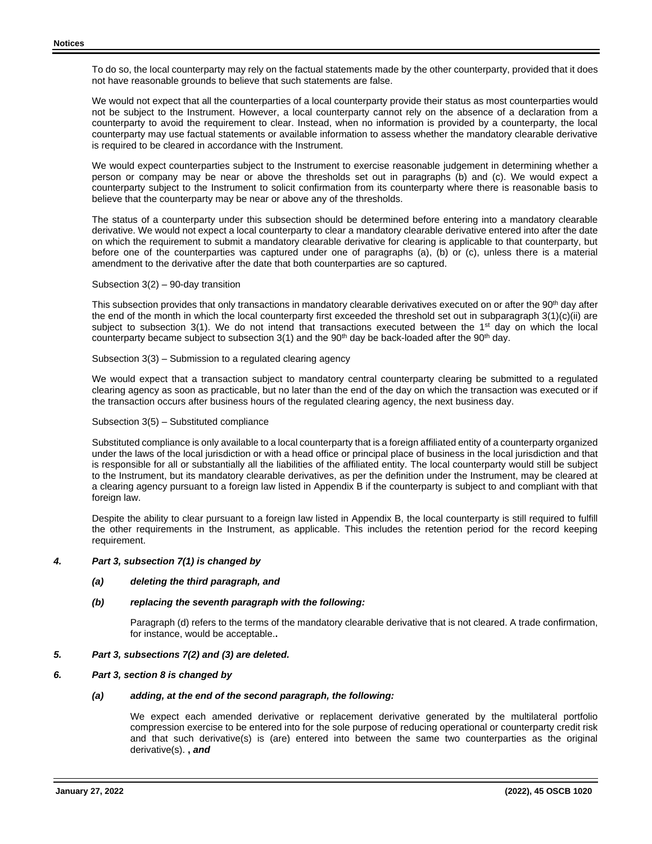To do so, the local counterparty may rely on the factual statements made by the other counterparty, provided that it does not have reasonable grounds to believe that such statements are false.

We would not expect that all the counterparties of a local counterparty provide their status as most counterparties would not be subject to the Instrument. However, a local counterparty cannot rely on the absence of a declaration from a counterparty to avoid the requirement to clear. Instead, when no information is provided by a counterparty, the local counterparty may use factual statements or available information to assess whether the mandatory clearable derivative is required to be cleared in accordance with the Instrument.

We would expect counterparties subject to the Instrument to exercise reasonable judgement in determining whether a person or company may be near or above the thresholds set out in paragraphs (b) and (c). We would expect a counterparty subject to the Instrument to solicit confirmation from its counterparty where there is reasonable basis to believe that the counterparty may be near or above any of the thresholds.

The status of a counterparty under this subsection should be determined before entering into a mandatory clearable derivative. We would not expect a local counterparty to clear a mandatory clearable derivative entered into after the date on which the requirement to submit a mandatory clearable derivative for clearing is applicable to that counterparty, but before one of the counterparties was captured under one of paragraphs (a), (b) or (c), unless there is a material amendment to the derivative after the date that both counterparties are so captured.

#### Subsection 3(2) – 90-day transition

This subsection provides that only transactions in mandatory clearable derivatives executed on or after the 90<sup>th</sup> day after the end of the month in which the local counterparty first exceeded the threshold set out in subparagraph 3(1)(c)(ii) are subject to subsection 3(1). We do not intend that transactions executed between the 1<sup>st</sup> day on which the local counterparty became subject to subsection  $3(1)$  and the  $90<sup>th</sup>$  day be back-loaded after the  $90<sup>th</sup>$  day.

Subsection 3(3) – Submission to a regulated clearing agency

We would expect that a transaction subject to mandatory central counterparty clearing be submitted to a regulated clearing agency as soon as practicable, but no later than the end of the day on which the transaction was executed or if the transaction occurs after business hours of the regulated clearing agency, the next business day.

#### Subsection 3(5) – Substituted compliance

Substituted compliance is only available to a local counterparty that is a foreign affiliated entity of a counterparty organized under the laws of the local jurisdiction or with a head office or principal place of business in the local jurisdiction and that is responsible for all or substantially all the liabilities of the affiliated entity. The local counterparty would still be subject to the Instrument, but its mandatory clearable derivatives, as per the definition under the Instrument, may be cleared at a clearing agency pursuant to a foreign law listed in Appendix B if the counterparty is subject to and compliant with that foreign law.

Despite the ability to clear pursuant to a foreign law listed in Appendix B, the local counterparty is still required to fulfill the other requirements in the Instrument, as applicable. This includes the retention period for the record keeping requirement.

### *4. Part 3, subsection 7(1) is changed by*

#### *(a) deleting the third paragraph, and*

#### *(b) replacing the seventh paragraph with the following:*

Paragraph (d) refers to the terms of the mandatory clearable derivative that is not cleared. A trade confirmation, for instance, would be acceptable.**.**

#### *5. Part 3, subsections 7(2) and (3) are deleted.*

#### *6. Part 3, section 8 is changed by*

#### *(a) adding, at the end of the second paragraph, the following:*

We expect each amended derivative or replacement derivative generated by the multilateral portfolio compression exercise to be entered into for the sole purpose of reducing operational or counterparty credit risk and that such derivative(s) is (are) entered into between the same two counterparties as the original derivative(s). **,** *and*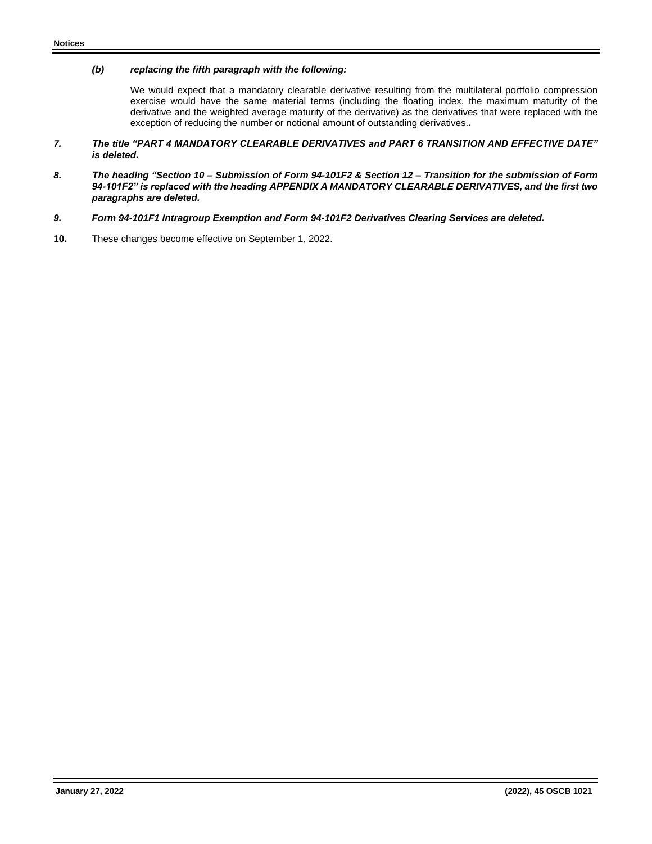## *(b) replacing the fifth paragraph with the following:*

We would expect that a mandatory clearable derivative resulting from the multilateral portfolio compression exercise would have the same material terms (including the floating index, the maximum maturity of the derivative and the weighted average maturity of the derivative) as the derivatives that were replaced with the exception of reducing the number or notional amount of outstanding derivatives.**.**

- *7. The title "PART 4 MANDATORY CLEARABLE DERIVATIVES and PART 6 TRANSITION AND EFFECTIVE DATE" is deleted.*
- *8. The heading "Section 10 – Submission of Form 94-101F2 & Section 12 – Transition for the submission of Form 94-101F2" is replaced with the heading APPENDIX A MANDATORY CLEARABLE DERIVATIVES, and the first two paragraphs are deleted.*
- *9. Form 94-101F1 Intragroup Exemption and Form 94-101F2 Derivatives Clearing Services are deleted.*
- **10.** These changes become effective on September 1, 2022.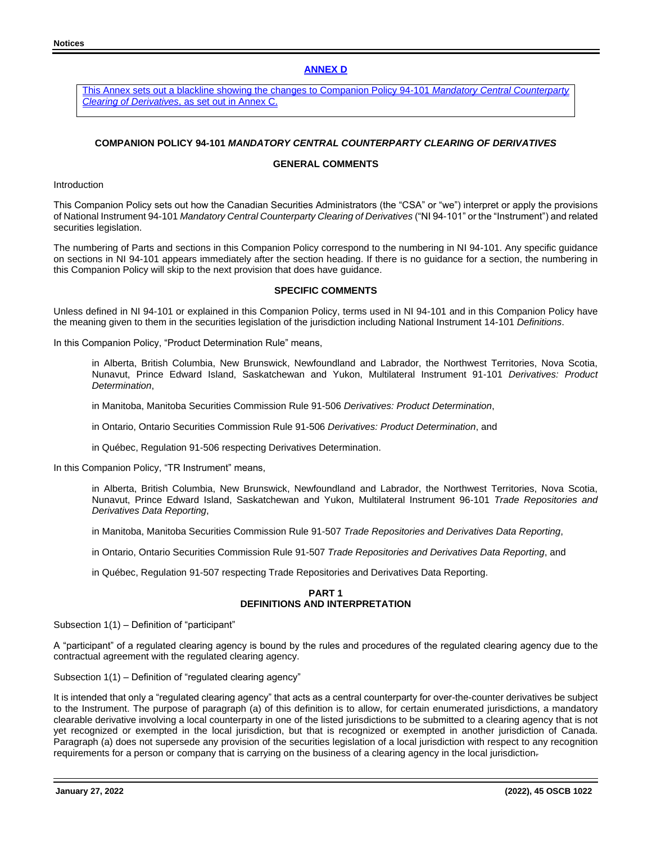## **ANNEX D**

This Annex sets out a blackline showing the changes to Companion Policy 94-101 *Mandatory Central Counterparty Clearing of Derivatives*, as set out in Annex C.

## **COMPANION POLICY 94-101** *MANDATORY CENTRAL COUNTERPARTY CLEARING OF DERIVATIVES*

## **GENERAL COMMENTS**

Introduction

This Companion Policy sets out how the Canadian Securities Administrators (the "CSA" or "we") interpret or apply the provisions of National Instrument 94-101 *Mandatory Central Counterparty Clearing of Derivatives* ("NI 94-101" or the "Instrument") and related securities legislation.

The numbering of Parts and sections in this Companion Policy correspond to the numbering in NI 94-101. Any specific guidance on sections in NI 94-101 appears immediately after the section heading. If there is no guidance for a section, the numbering in this Companion Policy will skip to the next provision that does have guidance.

### **SPECIFIC COMMENTS**

Unless defined in NI 94-101 or explained in this Companion Policy, terms used in NI 94-101 and in this Companion Policy have the meaning given to them in the securities legislation of the jurisdiction including National Instrument 14-101 *Definitions*.

In this Companion Policy, "Product Determination Rule" means,

in Alberta, British Columbia, New Brunswick, Newfoundland and Labrador, the Northwest Territories, Nova Scotia, Nunavut, Prince Edward Island, Saskatchewan and Yukon, Multilateral Instrument 91-101 *Derivatives: Product Determination*,

in Manitoba, Manitoba Securities Commission Rule 91-506 *Derivatives: Product Determination*,

in Ontario, Ontario Securities Commission Rule 91-506 *Derivatives: Product Determination*, and

in Québec, Regulation 91-506 respecting Derivatives Determination.

In this Companion Policy, "TR Instrument" means,

in Alberta, British Columbia, New Brunswick, Newfoundland and Labrador, the Northwest Territories, Nova Scotia, Nunavut, Prince Edward Island, Saskatchewan and Yukon, Multilateral Instrument 96-101 *Trade Repositories and Derivatives Data Reporting*,

in Manitoba, Manitoba Securities Commission Rule 91-507 *Trade Repositories and Derivatives Data Reporting*,

in Ontario, Ontario Securities Commission Rule 91-507 *Trade Repositories and Derivatives Data Reporting*, and

in Québec, Regulation 91-507 respecting Trade Repositories and Derivatives Data Reporting.

### **PART 1 DEFINITIONS AND INTERPRETATION**

Subsection 1(1) – Definition of "participant"

A "participant" of a regulated clearing agency is bound by the rules and procedures of the regulated clearing agency due to the contractual agreement with the regulated clearing agency.

Subsection 1(1) – Definition of "regulated clearing agency"

It is intended that only a "regulated clearing agency" that acts as a central counterparty for over-the-counter derivatives be subject to the Instrument. The purpose of paragraph (a) of this definition is to allow, for certain enumerated jurisdictions, a mandatory clearable derivative involving a local counterparty in one of the listed jurisdictions to be submitted to a clearing agency that is not yet recognized or exempted in the local jurisdiction, but that is recognized or exempted in another jurisdiction of Canada. Paragraph (a) does not supersede any provision of the securities legislation of a local jurisdiction with respect to any recognition requirements for a person or company that is carrying on the business of a clearing agency in the local jurisdiction.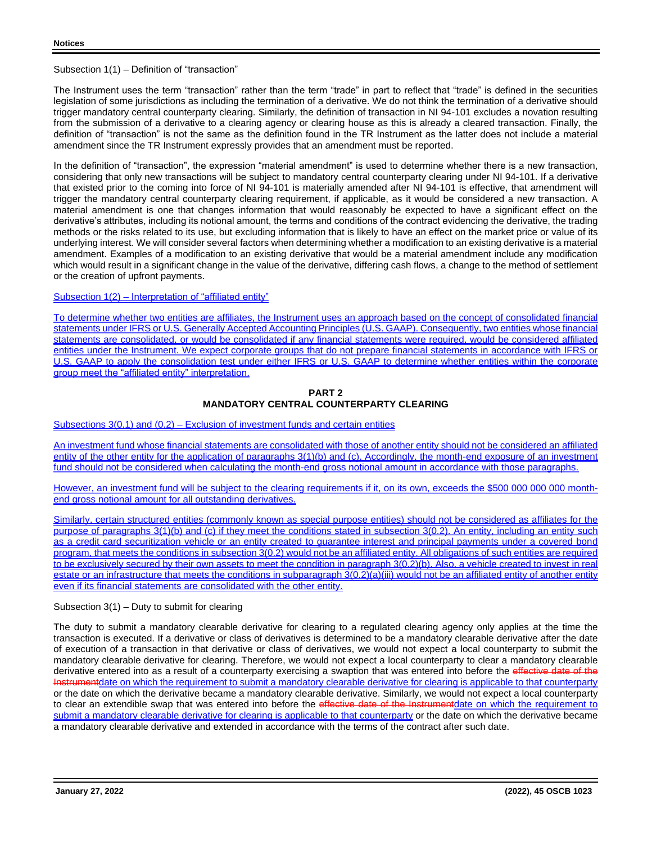## Subsection 1(1) – Definition of "transaction"

The Instrument uses the term "transaction" rather than the term "trade" in part to reflect that "trade" is defined in the securities legislation of some jurisdictions as including the termination of a derivative. We do not think the termination of a derivative should trigger mandatory central counterparty clearing. Similarly, the definition of transaction in NI 94-101 excludes a novation resulting from the submission of a derivative to a clearing agency or clearing house as this is already a cleared transaction. Finally, the definition of "transaction" is not the same as the definition found in the TR Instrument as the latter does not include a material amendment since the TR Instrument expressly provides that an amendment must be reported.

In the definition of "transaction", the expression "material amendment" is used to determine whether there is a new transaction, considering that only new transactions will be subject to mandatory central counterparty clearing under NI 94-101. If a derivative that existed prior to the coming into force of NI 94-101 is materially amended after NI 94-101 is effective, that amendment will trigger the mandatory central counterparty clearing requirement, if applicable, as it would be considered a new transaction. A material amendment is one that changes information that would reasonably be expected to have a significant effect on the derivative's attributes, including its notional amount, the terms and conditions of the contract evidencing the derivative, the trading methods or the risks related to its use, but excluding information that is likely to have an effect on the market price or value of its underlying interest. We will consider several factors when determining whether a modification to an existing derivative is a material amendment. Examples of a modification to an existing derivative that would be a material amendment include any modification which would result in a significant change in the value of the derivative, differing cash flows, a change to the method of settlement or the creation of upfront payments.

## Subsection 1(2) – Interpretation of "affiliated entity"

To determine whether two entities are affiliates, the Instrument uses an approach based on the concept of consolidated financial statements under IFRS or U.S. Generally Accepted Accounting Principles (U.S. GAAP). Consequently, two entities whose financial statements are consolidated, or would be consolidated if any financial statements were required, would be considered affiliated entities under the Instrument. We expect corporate groups that do not prepare financial statements in accordance with IFRS or U.S. GAAP to apply the consolidation test under either IFRS or U.S. GAAP to determine whether entities within the corporate group meet the "affiliated entity" interpretation.

## **PART 2 MANDATORY CENTRAL COUNTERPARTY CLEARING**

## Subsections 3(0.1) and (0.2) – Exclusion of investment funds and certain entities

An investment fund whose financial statements are consolidated with those of another entity should not be considered an affiliated entity of the other entity for the application of paragraphs 3(1)(b) and (c). Accordingly, the month-end exposure of an investment fund should not be considered when calculating the month-end gross notional amount in accordance with those paragraphs.

However, an investment fund will be subject to the clearing requirements if it, on its own, exceeds the \$500 000 000 000 monthend gross notional amount for all outstanding derivatives.

Similarly, certain structured entities (commonly known as special purpose entities) should not be considered as affiliates for the purpose of paragraphs 3(1)(b) and (c) if they meet the conditions stated in subsection 3(0.2). An entity, including an entity such as a credit card securitization vehicle or an entity created to guarantee interest and principal payments under a covered bond program, that meets the conditions in subsection 3(0.2) would not be an affiliated entity. All obligations of such entities are required to be exclusively secured by their own assets to meet the condition in paragraph 3(0.2)(b). Also, a vehicle created to invest in real estate or an infrastructure that meets the conditions in subparagraph 3(0.2)(a)(iii) would not be an affiliated entity of another entity even if its financial statements are consolidated with the other entity.

## Subsection 3(1) – Duty to submit for clearing

The duty to submit a mandatory clearable derivative for clearing to a regulated clearing agency only applies at the time the transaction is executed. If a derivative or class of derivatives is determined to be a mandatory clearable derivative after the date of execution of a transaction in that derivative or class of derivatives, we would not expect a local counterparty to submit the mandatory clearable derivative for clearing. Therefore, we would not expect a local counterparty to clear a mandatory clearable derivative entered into as a result of a counterparty exercising a swaption that was entered into before the effective date of the Instrumentdate on which the requirement to submit a mandatory clearable derivative for clearing is applicable to that counterparty or the date on which the derivative became a mandatory clearable derivative. Similarly, we would not expect a local counterparty to clear an extendible swap that was entered into before the effective date of the Instrumentdate on which the requirement to submit a mandatory clearable derivative for clearing is applicable to that counterparty or the date on which the derivative became a mandatory clearable derivative and extended in accordance with the terms of the contract after such date.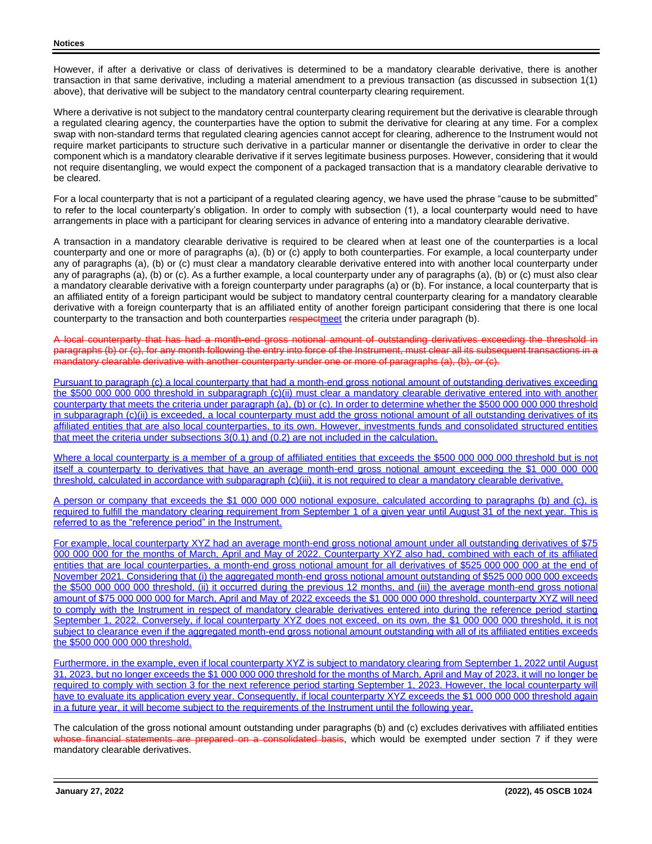However, if after a derivative or class of derivatives is determined to be a mandatory clearable derivative, there is another transaction in that same derivative, including a material amendment to a previous transaction (as discussed in subsection 1(1) above), that derivative will be subject to the mandatory central counterparty clearing requirement.

Where a derivative is not subject to the mandatory central counterparty clearing requirement but the derivative is clearable through a regulated clearing agency, the counterparties have the option to submit the derivative for clearing at any time. For a complex swap with non-standard terms that regulated clearing agencies cannot accept for clearing, adherence to the Instrument would not require market participants to structure such derivative in a particular manner or disentangle the derivative in order to clear the component which is a mandatory clearable derivative if it serves legitimate business purposes. However, considering that it would not require disentangling, we would expect the component of a packaged transaction that is a mandatory clearable derivative to be cleared.

For a local counterparty that is not a participant of a regulated clearing agency, we have used the phrase "cause to be submitted" to refer to the local counterparty's obligation. In order to comply with subsection (1), a local counterparty would need to have arrangements in place with a participant for clearing services in advance of entering into a mandatory clearable derivative.

A transaction in a mandatory clearable derivative is required to be cleared when at least one of the counterparties is a local counterparty and one or more of paragraphs (a), (b) or (c) apply to both counterparties. For example, a local counterparty under any of paragraphs (a), (b) or (c) must clear a mandatory clearable derivative entered into with another local counterparty under any of paragraphs (a), (b) or (c). As a further example, a local counterparty under any of paragraphs (a), (b) or (c) must also clear a mandatory clearable derivative with a foreign counterparty under paragraphs (a) or (b). For instance, a local counterparty that is an affiliated entity of a foreign participant would be subject to mandatory central counterparty clearing for a mandatory clearable derivative with a foreign counterparty that is an affiliated entity of another foreign participant considering that there is one local counterparty to the transaction and both counterparties respectment the criteria under paragraph (b).

A local counterparty that has had a month-end gross notional amount of outstanding derivatives exceeding the threshold in paragraphs (b) or (c), for any month following the entry into force of the Instrument, must clear all its subsequent transactions in a mandatory clearable derivative with another counterparty under one or more of paragraphs (a), (b), or (c).

Pursuant to paragraph (c) a local counterparty that had a month-end gross notional amount of outstanding derivatives exceeding the \$500 000 000 000 threshold in subparagraph (c)(ii) must clear a mandatory clearable derivative entered into with another counterparty that meets the criteria under paragraph (a), (b) or (c). In order to determine whether the \$500 000 000 000 threshold in subparagraph (c)(ii) is exceeded, a local counterparty must add the gross notional amount of all outstanding derivatives of its affiliated entities that are also local counterparties, to its own. However, investments funds and consolidated structured entities that meet the criteria under subsections 3(0.1) and (0.2) are not included in the calculation.

Where a local counterparty is a member of a group of affiliated entities that exceeds the \$500 000 000 000 threshold but is not itself a counterparty to derivatives that have an average month-end gross notional amount exceeding the \$1 000 000 000 threshold, calculated in accordance with subparagraph (c)(iii), it is not required to clear a mandatory clearable derivative.

A person or company that exceeds the \$1 000 000 000 notional exposure, calculated according to paragraphs (b) and (c), is required to fulfill the mandatory clearing requirement from September 1 of a given year until August 31 of the next year. This is referred to as the "reference period" in the Instrument.

For example, local counterparty XYZ had an average month-end gross notional amount under all outstanding derivatives of \$75 000 000 000 for the months of March, April and May of 2022. Counterparty XYZ also had, combined with each of its affiliated entities that are local counterparties, a month-end gross notional amount for all derivatives of \$525 000 000 000 at the end of November 2021. Considering that (i) the aggregated month-end gross notional amount outstanding of \$525 000 000 000 exceeds the \$500 000 000 000 threshold, (ii) it occurred during the previous 12 months, and (iii) the average month-end gross notional amount of \$75 000 000 000 for March, April and May of 2022 exceeds the \$1 000 000 000 threshold, counterparty XYZ will need to comply with the Instrument in respect of mandatory clearable derivatives entered into during the reference period starting September 1, 2022. Conversely, if local counterparty XYZ does not exceed, on its own, the \$1 000 000 000 threshold, it is not subject to clearance even if the aggregated month-end gross notional amount outstanding with all of its affiliated entities exceeds the \$500 000 000 000 threshold.

Furthermore, in the example, even if local counterparty XYZ is subject to mandatory clearing from September 1, 2022 until August 31, 2023, but no longer exceeds the \$1 000 000 000 threshold for the months of March, April and May of 2023, it will no longer be required to comply with section 3 for the next reference period starting September 1, 2023. However, the local counterparty will have to evaluate its application every year. Consequently, if local counterparty XYZ exceeds the \$1 000 000 000 threshold again in a future year, it will become subject to the requirements of the Instrument until the following year.

The calculation of the gross notional amount outstanding under paragraphs (b) and (c) excludes derivatives with affiliated entities whose financial statements are prepared on a consolidated basis, which would be exempted under section 7 if they were mandatory clearable derivatives.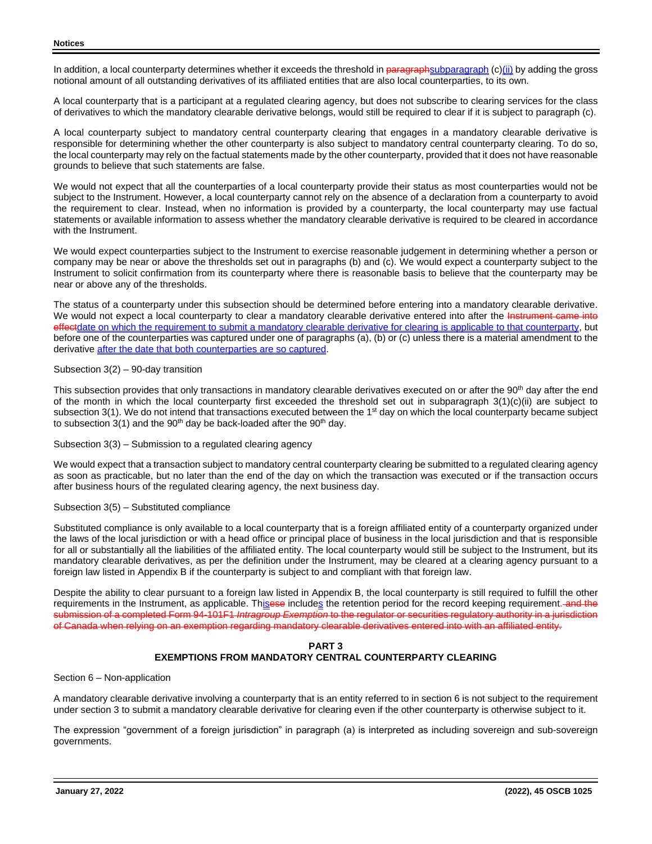In addition, a local counterparty determines whether it exceeds the threshold in paragraphsubparagraph (c)(ii) by adding the gross notional amount of all outstanding derivatives of its affiliated entities that are also local counterparties, to its own.

A local counterparty that is a participant at a regulated clearing agency, but does not subscribe to clearing services for the class of derivatives to which the mandatory clearable derivative belongs, would still be required to clear if it is subject to paragraph (c).

A local counterparty subject to mandatory central counterparty clearing that engages in a mandatory clearable derivative is responsible for determining whether the other counterparty is also subject to mandatory central counterparty clearing. To do so, the local counterparty may rely on the factual statements made by the other counterparty, provided that it does not have reasonable grounds to believe that such statements are false.

We would not expect that all the counterparties of a local counterparty provide their status as most counterparties would not be subject to the Instrument. However, a local counterparty cannot rely on the absence of a declaration from a counterparty to avoid the requirement to clear. Instead, when no information is provided by a counterparty, the local counterparty may use factual statements or available information to assess whether the mandatory clearable derivative is required to be cleared in accordance with the Instrument.

We would expect counterparties subject to the Instrument to exercise reasonable judgement in determining whether a person or company may be near or above the thresholds set out in paragraphs (b) and (c). We would expect a counterparty subject to the Instrument to solicit confirmation from its counterparty where there is reasonable basis to believe that the counterparty may be near or above any of the thresholds.

The status of a counterparty under this subsection should be determined before entering into a mandatory clearable derivative. We would not expect a local counterparty to clear a mandatory clearable derivative entered into after the Instrument came into effectdate on which the requirement to submit a mandatory clearable derivative for clearing is applicable to that counterparty, but before one of the counterparties was captured under one of paragraphs (a), (b) or (c) unless there is a material amendment to the derivative after the date that both counterparties are so captured.

## Subsection 3(2) – 90-day transition

This subsection provides that only transactions in mandatory clearable derivatives executed on or after the 90<sup>th</sup> day after the end of the month in which the local counterparty first exceeded the threshold set out in subparagraph 3(1)(c)(ii) are subject to subsection 3(1). We do not intend that transactions executed between the 1<sup>st</sup> day on which the local counterparty became subject to subsection  $3(1)$  and the  $90<sup>th</sup>$  day be back-loaded after the  $90<sup>th</sup>$  day.

Subsection 3(3) – Submission to a regulated clearing agency

We would expect that a transaction subject to mandatory central counterparty clearing be submitted to a regulated clearing agency as soon as practicable, but no later than the end of the day on which the transaction was executed or if the transaction occurs after business hours of the regulated clearing agency, the next business day.

## Subsection 3(5) – Substituted compliance

Substituted compliance is only available to a local counterparty that is a foreign affiliated entity of a counterparty organized under the laws of the local jurisdiction or with a head office or principal place of business in the local jurisdiction and that is responsible for all or substantially all the liabilities of the affiliated entity. The local counterparty would still be subject to the Instrument, but its mandatory clearable derivatives, as per the definition under the Instrument, may be cleared at a clearing agency pursuant to a foreign law listed in Appendix B if the counterparty is subject to and compliant with that foreign law.

Despite the ability to clear pursuant to a foreign law listed in Appendix B, the local counterparty is still required to fulfill the other requirements in the Instrument, as applicable. Thisese includes the retention period for the record keeping requirement. and the submission of a completed Form 94-101F1 *Intragroup Exemption* to the regulator or securities regulatory authority in a jurisdiction of Canada when relying on an exemption regarding mandatory clearable derivatives entered into with an affiliated entity.

## **PART 3 EXEMPTIONS FROM MANDATORY CENTRAL COUNTERPARTY CLEARING**

Section 6 – Non-application

A mandatory clearable derivative involving a counterparty that is an entity referred to in section 6 is not subject to the requirement under section 3 to submit a mandatory clearable derivative for clearing even if the other counterparty is otherwise subject to it.

The expression "government of a foreign jurisdiction" in paragraph (a) is interpreted as including sovereign and sub-sovereign governments.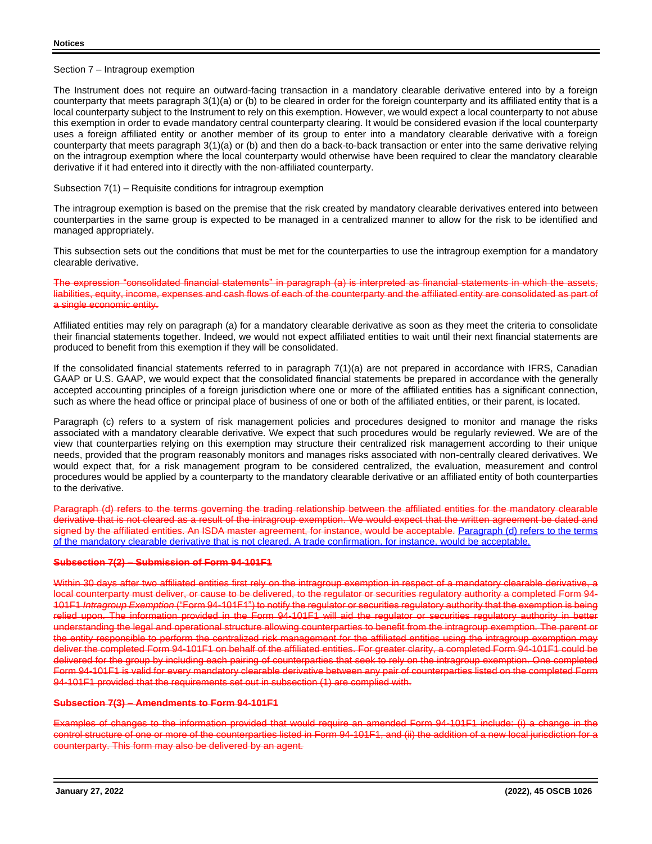Section 7 – Intragroup exemption

The Instrument does not require an outward-facing transaction in a mandatory clearable derivative entered into by a foreign counterparty that meets paragraph 3(1)(a) or (b) to be cleared in order for the foreign counterparty and its affiliated entity that is a local counterparty subject to the Instrument to rely on this exemption. However, we would expect a local counterparty to not abuse this exemption in order to evade mandatory central counterparty clearing. It would be considered evasion if the local counterparty uses a foreign affiliated entity or another member of its group to enter into a mandatory clearable derivative with a foreign counterparty that meets paragraph 3(1)(a) or (b) and then do a back-to-back transaction or enter into the same derivative relying on the intragroup exemption where the local counterparty would otherwise have been required to clear the mandatory clearable derivative if it had entered into it directly with the non-affiliated counterparty.

Subsection 7(1) – Requisite conditions for intragroup exemption

The intragroup exemption is based on the premise that the risk created by mandatory clearable derivatives entered into between counterparties in the same group is expected to be managed in a centralized manner to allow for the risk to be identified and managed appropriately.

This subsection sets out the conditions that must be met for the counterparties to use the intragroup exemption for a mandatory clearable derivative.

expression "consolidated financial statements" in paragraph (a) is interpreted as financial statements in which the liabilities, equity, income, expenses and cash flows of each of the counterparty and the affiliated entity are consolidated as part of a single economic entity.

Affiliated entities may rely on paragraph (a) for a mandatory clearable derivative as soon as they meet the criteria to consolidate their financial statements together. Indeed, we would not expect affiliated entities to wait until their next financial statements are produced to benefit from this exemption if they will be consolidated.

If the consolidated financial statements referred to in paragraph 7(1)(a) are not prepared in accordance with IFRS, Canadian GAAP or U.S. GAAP, we would expect that the consolidated financial statements be prepared in accordance with the generally accepted accounting principles of a foreign jurisdiction where one or more of the affiliated entities has a significant connection, such as where the head office or principal place of business of one or both of the affiliated entities, or their parent, is located.

Paragraph (c) refers to a system of risk management policies and procedures designed to monitor and manage the risks associated with a mandatory clearable derivative. We expect that such procedures would be regularly reviewed. We are of the view that counterparties relying on this exemption may structure their centralized risk management according to their unique needs, provided that the program reasonably monitors and manages risks associated with non-centrally cleared derivatives. We would expect that, for a risk management program to be considered centralized, the evaluation, measurement and control procedures would be applied by a counterparty to the mandatory clearable derivative or an affiliated entity of both counterparties to the derivative.

Paragraph (d) refers to the terms governing the trading relationship between the affiliated entities for the mandatory clearable derivative that is not cleared as a result of the intragroup exemption. We would expect that the written agreement be dated and signed by the affiliated entities. An ISDA master agreement, for instance, would be acceptable. Paragraph (d) refers to the terms of the mandatory clearable derivative that is not cleared. A trade confirmation, for instance, would be acceptable.

## **Subsection 7(2) – Submission of Form 94-101F1**

Within 30 days after two affiliated entities first rely on the intragroup exemption in respect of a mandatory clearable derivative, local counterparty must deliver, or cause to be delivered, to the regulator or securities regulatory authority a completed Form 94- 101F1 *Intragroup Exemption* ("Form 94-101F1") to notify the regulator or securities regulatory authority that the exemption is being relied upon. The information provided in the Form 94-101F1 will aid the regulator or securities regulatory authority in better understanding the legal and operational structure allowing counterparties to benefit from the intragroup exemption. The parent or the entity responsible to perform the centralized risk management for the affiliated entities using the intragroup exemption may deliver the completed Form 94-101F1 on behalf of the affiliated entities. For greater clarity, a completed Form 94-101F1 could be delivered for the group by including each pairing of counterparties that seek to rely on the intragroup exemption. One completed Form 94-101F1 is valid for every mandatory clearable derivative between any pair of counterparties listed on the completed Form 94-101F1 provided that the requirements set out in subsection (1) are complied with.

## **Subsection 7(3) – Amendments to Form 94-101F1**

Examples of changes to the information provided that would require an amended Form 94-101F1 include: (i) a change in the control structure of one or more of the counterparties listed in Form 94-101F1, and (ii) the addition of a new local jurisdiction for a counterparty. This form may also be delivered by an agent.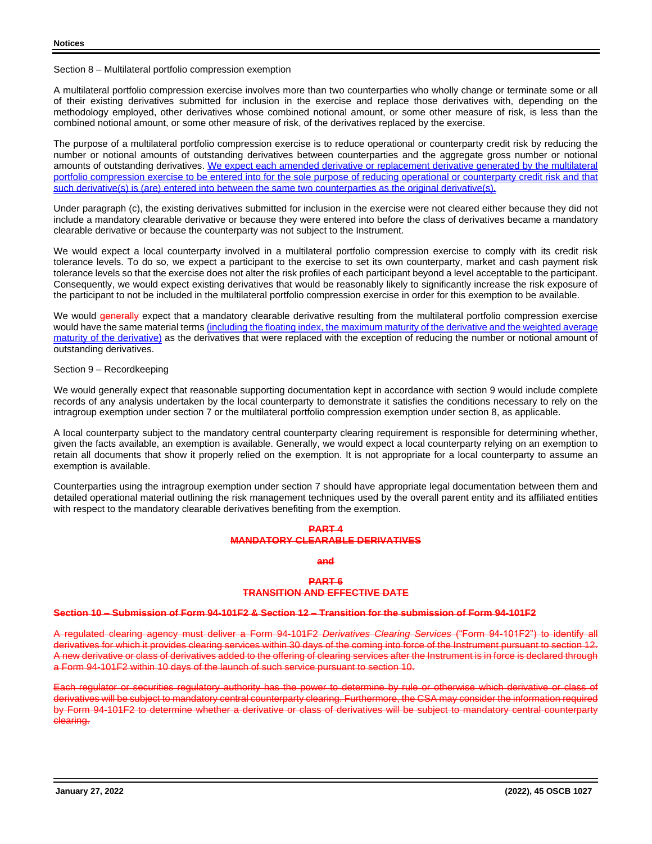Section 8 – Multilateral portfolio compression exemption

A multilateral portfolio compression exercise involves more than two counterparties who wholly change or terminate some or all of their existing derivatives submitted for inclusion in the exercise and replace those derivatives with, depending on the methodology employed, other derivatives whose combined notional amount, or some other measure of risk, is less than the combined notional amount, or some other measure of risk, of the derivatives replaced by the exercise.

The purpose of a multilateral portfolio compression exercise is to reduce operational or counterparty credit risk by reducing the number or notional amounts of outstanding derivatives between counterparties and the aggregate gross number or notional amounts of outstanding derivatives. We expect each amended derivative or replacement derivative generated by the multilateral portfolio compression exercise to be entered into for the sole purpose of reducing operational or counterparty credit risk and that such derivative(s) is (are) entered into between the same two counterparties as the original derivative(s).

Under paragraph (c), the existing derivatives submitted for inclusion in the exercise were not cleared either because they did not include a mandatory clearable derivative or because they were entered into before the class of derivatives became a mandatory clearable derivative or because the counterparty was not subject to the Instrument.

We would expect a local counterparty involved in a multilateral portfolio compression exercise to comply with its credit risk tolerance levels. To do so, we expect a participant to the exercise to set its own counterparty, market and cash payment risk tolerance levels so that the exercise does not alter the risk profiles of each participant beyond a level acceptable to the participant. Consequently, we would expect existing derivatives that would be reasonably likely to significantly increase the risk exposure of the participant to not be included in the multilateral portfolio compression exercise in order for this exemption to be available.

We would **generally** expect that a mandatory clearable derivative resulting from the multilateral portfolio compression exercise would have the same material terms (including the floating index, the maximum maturity of the derivative and the weighted average maturity of the derivative) as the derivatives that were replaced with the exception of reducing the number or notional amount of outstanding derivatives.

## Section 9 – Recordkeeping

We would generally expect that reasonable supporting documentation kept in accordance with section 9 would include complete records of any analysis undertaken by the local counterparty to demonstrate it satisfies the conditions necessary to rely on the intragroup exemption under section 7 or the multilateral portfolio compression exemption under section 8, as applicable.

A local counterparty subject to the mandatory central counterparty clearing requirement is responsible for determining whether, given the facts available, an exemption is available. Generally, we would expect a local counterparty relying on an exemption to retain all documents that show it properly relied on the exemption. It is not appropriate for a local counterparty to assume an exemption is available.

Counterparties using the intragroup exemption under section 7 should have appropriate legal documentation between them and detailed operational material outlining the risk management techniques used by the overall parent entity and its affiliated entities with respect to the mandatory clearable derivatives benefiting from the exemption.

## **PART 4**

#### **MANDATORY CLEARABLE DERIVATIVES**

**and**

#### **PART 6 TRANSITION AND EFFECTIVE DATE**

#### **Section 10 – Submission of Form 94-101F2 & Section 12 – Transition for the submission of Form 94-101F2**

A regulated clearing agency must deliver a Form 94-101F2 *Derivatives Clearing Services* ("Form 94-101F2") to identify all derivatives for which it provides clearing services within 30 days of the coming into force of the Instrument pursuant to section 12. A new derivative or class of derivatives added to the offering of clearing services after the Instrument is in force is declared through a Form 94-101F2 within 10 days of the launch of such service pursuant to section 10.

Each regulator or securities regulatory authority has the power to determine by rule or otherwise which derivative or class of derivatives will be subject to mandatory central counterparty clearing. Furthermore, the CSA may consider the information required by Form 94-101F2 to determine whether a derivative or class of derivatives will be subject to mandatory central counterp clearing.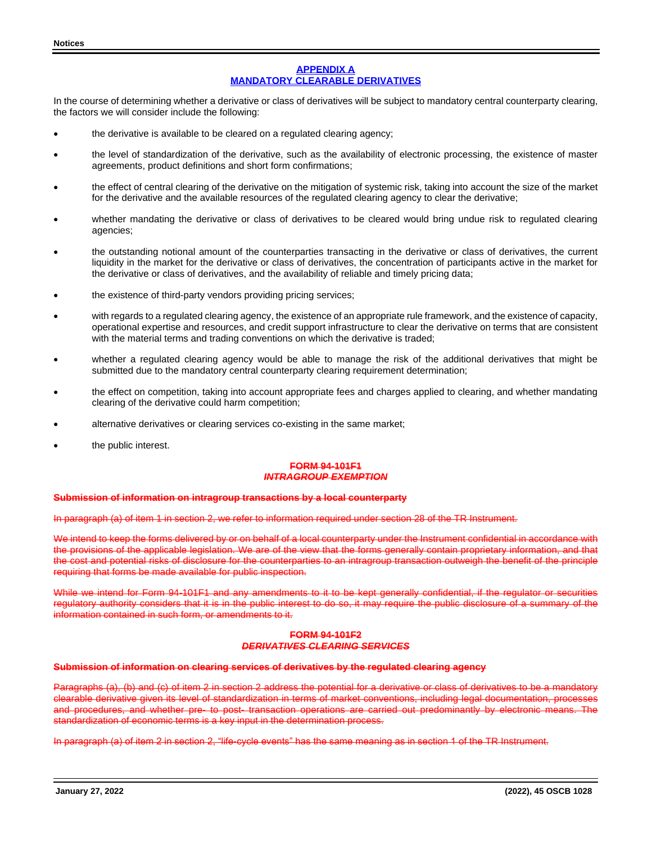## **APPENDIX A MANDATORY CLEARABLE DERIVATIVES**

In the course of determining whether a derivative or class of derivatives will be subject to mandatory central counterparty clearing, the factors we will consider include the following:

- the derivative is available to be cleared on a regulated clearing agency;
- the level of standardization of the derivative, such as the availability of electronic processing, the existence of master agreements, product definitions and short form confirmations;
- the effect of central clearing of the derivative on the mitigation of systemic risk, taking into account the size of the market for the derivative and the available resources of the regulated clearing agency to clear the derivative;
- whether mandating the derivative or class of derivatives to be cleared would bring undue risk to regulated clearing agencies;
- the outstanding notional amount of the counterparties transacting in the derivative or class of derivatives, the current liquidity in the market for the derivative or class of derivatives, the concentration of participants active in the market for the derivative or class of derivatives, and the availability of reliable and timely pricing data;
- the existence of third-party vendors providing pricing services;
- with regards to a regulated clearing agency, the existence of an appropriate rule framework, and the existence of capacity, operational expertise and resources, and credit support infrastructure to clear the derivative on terms that are consistent with the material terms and trading conventions on which the derivative is traded;
- whether a regulated clearing agency would be able to manage the risk of the additional derivatives that might be submitted due to the mandatory central counterparty clearing requirement determination;
- the effect on competition, taking into account appropriate fees and charges applied to clearing, and whether mandating clearing of the derivative could harm competition;
- alternative derivatives or clearing services co-existing in the same market;
- the public interest.

### **FORM 94-101F1** *INTRAGROUP EXEMPTION*

#### **Submission of information on intragroup transactions by a local counterparty**

In paragraph (a) of item 1 in section 2, we refer to information required under section 28 of the TR Instrument.

We intend to keep the forms delivered by or on behalf of a local counterparty under the Instrument confidential in accordance with the provisions of the applicable legislation. We are of the view that the forms generally contain proprietary information, and that the cost and potential risks of disclosure for the counterparties to an intragroup transaction outweigh the benefit of the principle requiring that forms be made available for public inspection.

While we intend for Form 94-101F1 and any amendments to it to be kept generally confidential, if the regulator or securities regulatory authority considers that it is in the public interest to do so, it may require the public disclosure of a summary of the information contained in such form, or amendments to it.

## **FORM 94-101F2** *DERIVATIVES CLEARING SERVICES*

#### **Submission of information on clearing services of derivatives by the regulated clearing agency**

Paragraphs (a), (b) and (c) of item 2 in section 2 address the potential for a derivative or class of derivatives to be a mandatory clearable derivative given its level of standardization in terms of market conventions, including legal documentation, proce procedures, and whether pre- to post- transaction operations are carried out predominantly by electronic means. standardization of economic terms is a key input in the determination process.

In paragraph (a) of item 2 in section 2, "life-cycle events" has the same meaning as in section 1 of the TR Instrument.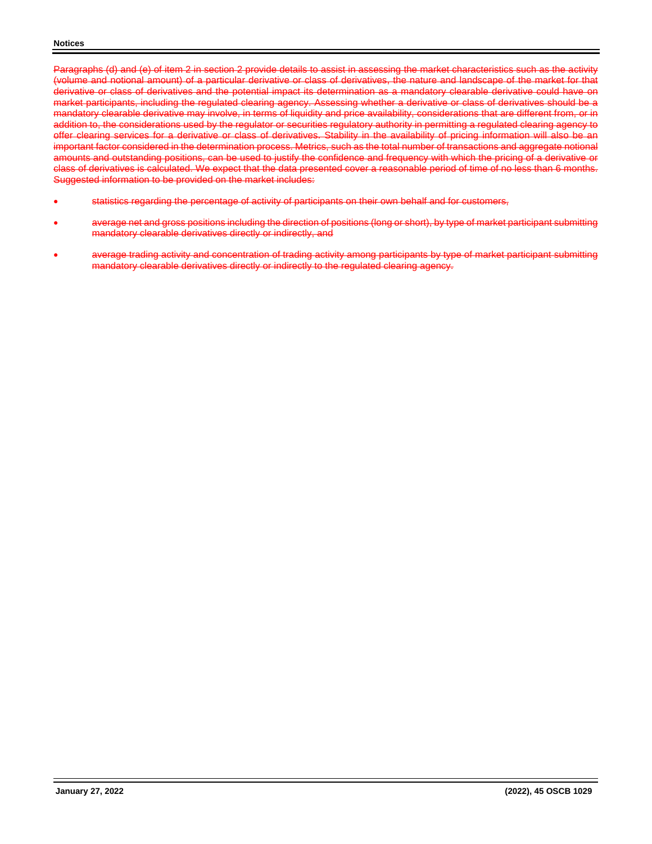Paragraphs (d) and (e) of item 2 in section 2 provide details to assist in assessing the market characteristics such as the activity (volume and notional amount) of a particular derivative or class of derivatives, the nature and landscape of the market for that derivative or class of derivatives and the potential impact its determination as a mandatory clearable derivative could have on market participants, including the regulated clearing agency. Assessing whether a derivative or class of derivatives should be a mandatory clearable derivative may involve, in terms of liquidity and price availability, considerations that are different from, or in addition to, the considerations used by the regulator or securities regulatory authority in permitting a regulated clearing agency to offer clearing services for a derivative or class of derivatives. Stability in the availability of pricing information will also be an important factor considered in the determination process. Metrics, such as the total number of transactions and aggregate notional amounts and outstanding positions, can be used to justify the confidence and frequency with which the pricing of a derivative or class of derivatives is calculated. We expect that the data presented cover a reasonable period of time of no less than 6 months. Suggested information to be provided on the market includes:

- statistics regarding the percentage of activity of participants on their own behalf and for customers,
- average net and gross positions including the direction of positions (long or short), by type of market participant submitting mandatory clearable derivatives directly or indirectly, and
- average trading activity and concentration of trading activity among participants by type of market participant submitting mandatory clearable derivatives directly or indirectly to the regulated clearing agency.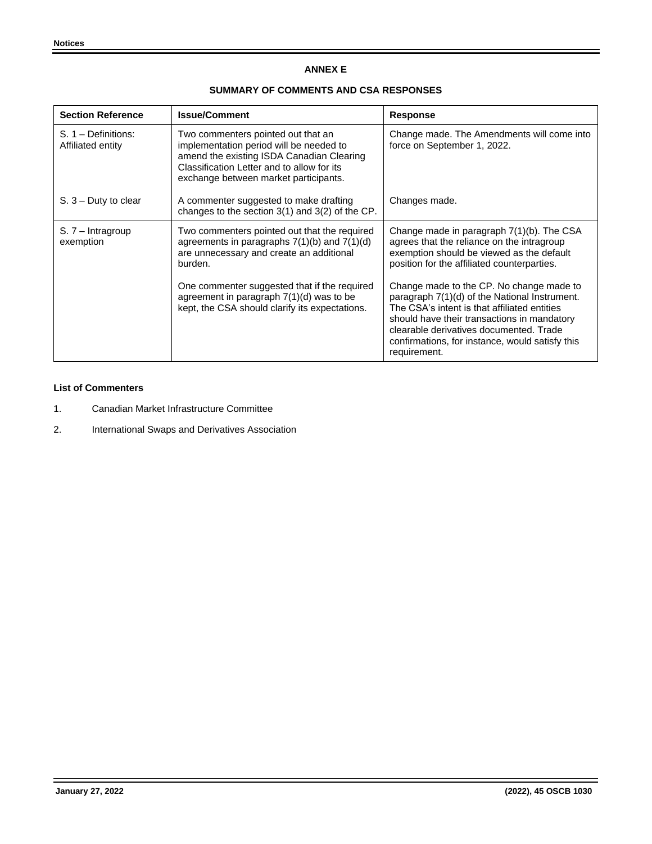## **ANNEX E**

## **SUMMARY OF COMMENTS AND CSA RESPONSES**

| <b>Section Reference</b>                   | <b>Issue/Comment</b>                                                                                                                                                                                              | Response                                                                                                                                                                                                                                                                                               |
|--------------------------------------------|-------------------------------------------------------------------------------------------------------------------------------------------------------------------------------------------------------------------|--------------------------------------------------------------------------------------------------------------------------------------------------------------------------------------------------------------------------------------------------------------------------------------------------------|
| $S. 1 - Definitions:$<br>Affiliated entity | Two commenters pointed out that an<br>implementation period will be needed to<br>amend the existing ISDA Canadian Clearing<br>Classification Letter and to allow for its<br>exchange between market participants. | Change made. The Amendments will come into<br>force on September 1, 2022.                                                                                                                                                                                                                              |
| $S. 3 -$ Duty to clear                     | A commenter suggested to make drafting<br>changes to the section $3(1)$ and $3(2)$ of the CP.                                                                                                                     | Changes made.                                                                                                                                                                                                                                                                                          |
| $S. 7 - Intragroup$<br>exemption           | Two commenters pointed out that the required<br>agreements in paragraphs $7(1)(b)$ and $7(1)(d)$<br>are unnecessary and create an additional<br>burden.                                                           | Change made in paragraph 7(1)(b). The CSA<br>agrees that the reliance on the intragroup<br>exemption should be viewed as the default<br>position for the affiliated counterparties.                                                                                                                    |
|                                            | One commenter suggested that if the required<br>agreement in paragraph $7(1)(d)$ was to be<br>kept, the CSA should clarify its expectations.                                                                      | Change made to the CP. No change made to<br>paragraph 7(1)(d) of the National Instrument.<br>The CSA's intent is that affiliated entities<br>should have their transactions in mandatory<br>clearable derivatives documented. Trade<br>confirmations, for instance, would satisfy this<br>requirement. |

## **List of Commenters**

- 1. Canadian Market Infrastructure Committee
- 2. International Swaps and Derivatives Association